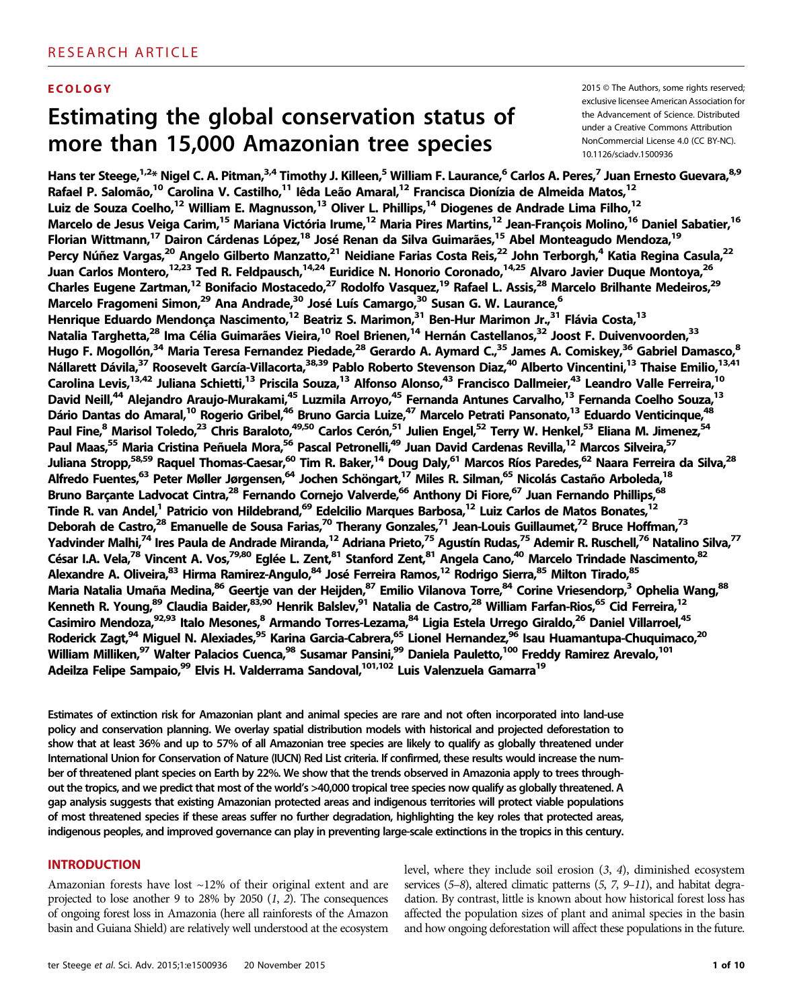# Estimating the global conservation status of more than 15,000 Amazonian tree species

ECOLOGY 2015 © The Authors, some rights reserved; exclusive licensee American Association for the Advancement of Science. Distributed under a Creative Commons Attribution NonCommercial License 4.0 (CC BY-NC). 10.1126/sciadv.1500936

Hans ter Steege,<sup>1,2\*</sup> Nigel C. A. Pitman,<sup>3,4</sup> Timothy J. Killeen,<sup>5</sup> William F. Laurance,<sup>6</sup> Carlos A. Peres,<sup>7</sup> Juan Ernesto Guevara,<sup>8,9</sup> Rafael P. Salomão,<sup>10</sup> Carolina V. Castilho,<sup>11</sup> Iêda Leão Amaral,<sup>12</sup> Francisca Dionízia de Almeida Matos,<sup>12</sup> Luiz de Souza Coelho,<sup>12</sup> William E. Magnusson,<sup>13</sup> Oliver L. Phillips,<sup>14</sup> Diogenes de Andrade Lima Filho,<sup>12</sup> Marcelo de Jesus Veiga Carim,<sup>15</sup> Mariana Victória Irume,<sup>12</sup> Maria Pires Martins,<sup>12</sup> Jean-François Molino,<sup>16</sup> Daniel Sabatier,<sup>16</sup> Florian Wittmann,<sup>17</sup> Dairon Cárdenas López,<sup>18</sup> José Renan da Silva Guimarães,<sup>15</sup> Abel Monteagudo Mendoza,<sup>19</sup> Percy Núñez Vargas,<sup>20</sup> Angelo Gilberto Manzatto,<sup>21</sup> Neidiane Farias Costa Reis,<sup>22</sup> John Terborgh,<sup>4</sup> Katia Regina Casula,<sup>22</sup> Juan Carlos Montero,<sup>12,23</sup> Ted R. Feldpausch,<sup>14,24</sup> Euridice N. Honorio Coronado,<sup>14,25</sup> Alvaro Javier Duque Montoya,<sup>26</sup> Charles Eugene Zartman,<sup>12</sup> Bonifacio Mostacedo,<sup>27</sup> Rodolfo Vasquez,<sup>19</sup> Rafael L. Assis,<sup>28</sup> Marcelo Brilhante Medeiros,<sup>29</sup> Marcelo Fragomeni Simon,<sup>29</sup> Ana Andrade,<sup>30</sup> José Luís Camargo,<sup>30</sup> Susan G. W. Laurance,<sup>6</sup> Henrique Eduardo Mendonça Nascimento,<sup>12</sup> Beatriz S. Marimon,<sup>31</sup> Ben-Hur Marimon Jr.,<sup>31</sup> Flávia Costa,<sup>13</sup> Natalia Targhetta,<sup>28</sup> Ima Célia Guimarães Vieira,<sup>10</sup> Roel Brienen,<sup>14</sup> Hernán Castellanos,<sup>32</sup> Joost F. Duivenvoorden,<sup>33</sup> Hugo F. Mogollón,<sup>34</sup> Maria Teresa Fernandez Piedade,<sup>28</sup> Gerardo A. Aymard C.,<sup>35</sup> James A. Comiskey,<sup>36</sup> Gabriel Damasco,<sup>8</sup> Nállarett Dávila,<sup>37</sup> Roosevelt García-Villacorta,<sup>38,39</sup> Pablo Roberto Stevenson Diaz,<sup>40</sup> Alberto Vincentini,<sup>13</sup> Thaise Emilio,<sup>13,41</sup> Carolina Levis,<sup>13,42</sup> Juliana Schietti,<sup>13</sup> Priscila Souza,<sup>13</sup> Alfonso Alonso,<sup>43</sup> Francisco Dallmeier,<sup>43</sup> Leandro Valle Ferreira,<sup>10</sup> David Neill,<sup>44</sup> Alejandro Araujo-Murakami,<sup>45</sup> Luzmila Arroyo,<sup>45</sup> Fernanda Antunes Carvalho,<sup>13</sup> Fernanda Coelho Souza,<sup>13</sup> Dário Dantas do Amaral,<sup>10</sup> Rogerio Gribel,<sup>46</sup> Bruno Garcia Luize,<sup>47</sup> Marcelo Petrati Pansonato,<sup>13</sup> Eduardo Venticinque,<sup>48</sup> Paul Fine,<sup>8</sup> Marisol Toledo,<sup>23</sup> Chris Baraloto,<sup>49,50</sup> Carlos Cerón,<sup>51</sup> Julien Engel,<sup>52</sup> Terry W. Henkel,<sup>53</sup> Eliana M. Jimenez,<sup>54</sup> Paul Maas,<sup>55</sup> Maria Cristina Peñuela Mora,<sup>56</sup> Pascal Petronelli,<sup>49</sup> Juan David Cardenas Revilla,<sup>12</sup> Marcos Silveira,<sup>57</sup> Juliana Stropp,<sup>58,59</sup> Raquel Thomas-Caesar,<sup>60</sup> Tim R. Baker,<sup>14</sup> Doug Daly,<sup>61</sup> Marcos Ríos Paredes,<sup>62</sup> Naara Ferreira da Silva,<sup>28</sup> Alfredo Fuentes,<sup>63</sup> Peter Møller Jørgensen,<sup>64</sup> Jochen Schöngart,<sup>17</sup> Miles R. Silman,<sup>65</sup> Nicolás Castaño Arboleda,<sup>18</sup> Bruno Barçante Ladvocat Cintra,<sup>28</sup> Fernando Cornejo Valverde,<sup>66</sup> Anthony Di Fiore,<sup>67</sup> Juan Fernando Phillips,<sup>68</sup> Tinde R. van Andel,<sup>1</sup> Patricio von Hildebrand,<sup>69</sup> Edelcilio Marques Barbosa,<sup>12</sup> Luiz Carlos de Matos Bonates,<sup>12</sup> Deborah de Castro,<sup>28</sup> Emanuelle de Sousa Farias,<sup>70</sup> Therany Gonzales,<sup>71</sup> Jean-Louis Guillaumet,<sup>72</sup> Bruce Hoffman,<sup>73</sup> Yadvinder Malhi,<sup>74</sup> Ires Paula de Andrade Miranda,<sup>12</sup> Adriana Prieto,<sup>75</sup> Agustín Rudas,<sup>75</sup> Ademir R. Ruschell,<sup>76</sup> Natalino Silva,<sup>77</sup> César I.A. Vela,<sup>78</sup> Vincent A. Vos,<sup>79,80</sup> Eglée L. Zent,<sup>81</sup> Stanford Zent,<sup>81</sup> Angela Cano,<sup>40</sup> Marcelo Trindade Nascimento,<sup>82</sup> Alexandre A. Oliveira, 83 Hirma Ramirez-Angulo, 84 José Ferreira Ramos, <sup>12</sup> Rodrigo Sierra, 85 Milton Tirado, 85 Maria Natalia Umaña Medina,<sup>86</sup> Geertje van der Heijden,<sup>87</sup> Emilio Vilanova Torre,<sup>84</sup> Corine Vriesendorp,<sup>3</sup> Ophelia Wang,<sup>88</sup> Kenneth R. Young,<sup>89</sup> Claudia Baider,<sup>83,90</sup> Henrik Balslev,<sup>91</sup> Natalia de Castro,<sup>28</sup> William Farfan-Rios,<sup>65</sup> Cid Ferreira,<sup>12</sup> Casimiro Mendoza, <sup>92,93</sup> Italo Mesones, <sup>8</sup> Armando Torres-Lezama, <sup>84</sup> Ligia Estela Urrego Giraldo, <sup>26</sup> Daniel Villarroel, <sup>45</sup> Roderick Zagt,<sup>94</sup> Miguel N. Alexiades,<sup>95</sup> Karina Garcia-Cabrera,<sup>65</sup> Lionel Hernandez,<sup>96</sup> Isau Huamantupa-Chuquimaco,<sup>20</sup> William Milliken,<sup>97</sup> Walter Palacios Cuenca,<sup>98</sup> Susamar Pansini,<sup>99</sup> Daniela Pauletto,<sup>100</sup> Freddy Ramirez Arevalo,<sup>101</sup> Adeilza Felipe Sampaio,<sup>99</sup> Elvis H. Valderrama Sandoval,<sup>101,102</sup> Luis Valenzuela Gamarra<sup>19</sup>

Estimates of extinction risk for Amazonian plant and animal species are rare and not often incorporated into land-use policy and conservation planning. We overlay spatial distribution models with historical and projected deforestation to show that at least 36% and up to 57% of all Amazonian tree species are likely to qualify as globally threatened under International Union for Conservation of Nature (IUCN) Red List criteria. If confirmed, these results would increase the number of threatened plant species on Earth by 22%. We show that the trends observed in Amazonia apply to trees throughout the tropics, and we predict that most of the world*'*s >40,000 tropical tree species now qualify as globally threatened. A gap analysis suggests that existing Amazonian protected areas and indigenous territories will protect viable populations of most threatened species if these areas suffer no further degradation, highlighting the key roles that protected areas, indigenous peoples, and improved governance can play in preventing large-scale extinctions in the tropics in this century.

### **INTRODUCTION**

Amazonian forests have lost ~12% of their original extent and are projected to lose another 9 to 28% by 2050 (1, 2). The consequences of ongoing forest loss in Amazonia (here all rainforests of the Amazon basin and Guiana Shield) are relatively well understood at the ecosystem

level, where they include soil erosion (3, 4), diminished ecosystem services (5–8), altered climatic patterns (5, 7, 9–11), and habitat degradation. By contrast, little is known about how historical forest loss has affected the population sizes of plant and animal species in the basin and how ongoing deforestation will affect these populations in the future.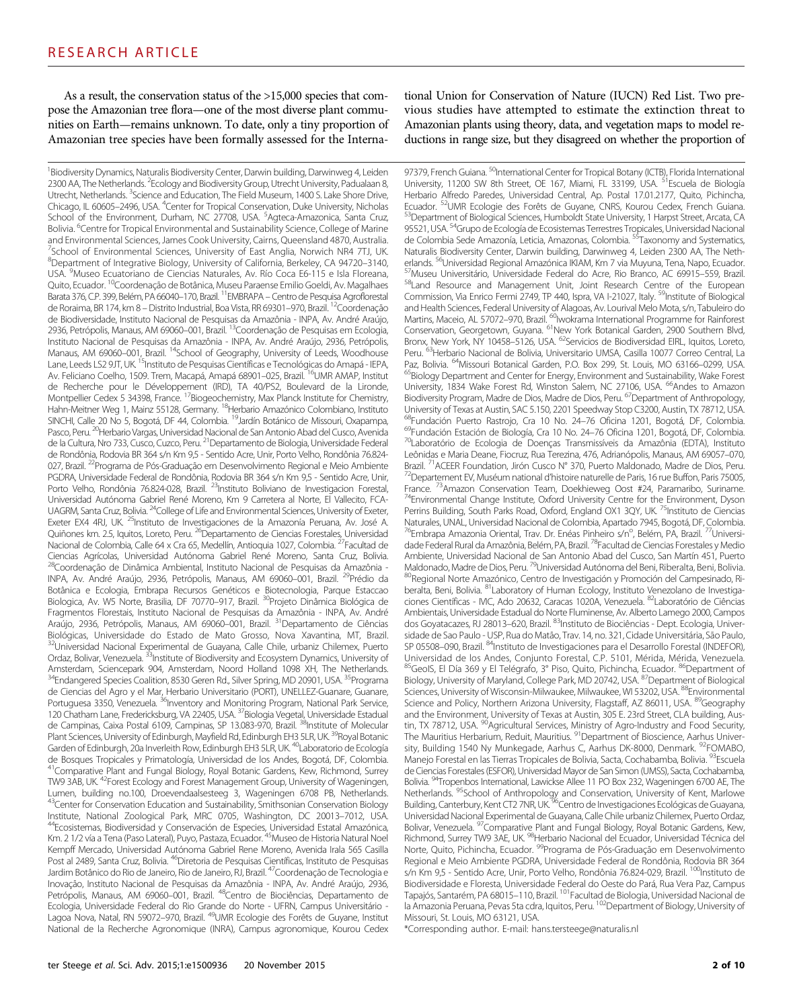As a result, the conservation status of the >15,000 species that compose the Amazonian tree flora—one of the most diverse plant communities on Earth—remains unknown. To date, only a tiny proportion of Amazonian tree species have been formally assessed for the Interna-

<sup>1</sup> Biodiversity Dynamics, Naturalis Biodiversity Center, Darwin building, Darwinweg 4, Leiden 2300 AA, The Netherlands. <sup>2</sup> Ecology and Biodiversity Group, Utrecht University, Padualaan 8, Utrecht, Netherlands. <sup>3</sup>Science and Education, The Field Museum, 1400 S. Lake Shore Drive, Chicago, IL 60605-2496, USA. <sup>4</sup>Center for Tropical Conservation, Duke University, Nicholas School of the Environment, Durham, NC 27708, USA. <sup>5</sup>Agteca-Amazonica, Santa Cruz, Bolivia. <sup>6</sup>Centre for Tropical Environmental and Sustainability Science, College of Marine and Environmental Sciences, James Cook University, Cairns, Queensland 4870, Australia. <sup>7</sup>School of Environmental Sciences, University of East Anglia, Norwich NR4 7TJ, UK. 8 Department of Integrative Biology, University of California, Berkeley, CA 94720–3140, USA. <sup>9</sup> Museo Ecuatoriano de Ciencias Naturales, Av. Río Coca E6-115 e Isla Floreana, Quito, Ecuador. 10Coordenação de Botânica, Museu Paraense Emilio Goeldi, Av. Magalhaes Barata 376, C.P. 399, Belém, PA 66040-170, Brazil. <sup>11</sup>EMBRAPA – Centro de Pesquisa Agroflorestal de Roraima, BR 174, km 8 –Distrito Industrial, Boa Vista, RR 69301–970, Brazil. 12Coordenação de Biodiversidade, Instituto Nacional de Pesquisas da Amazônia - INPA, Av. André Araújo, 2936, Petrópolis, Manaus, AM 69060–001, Brazil. 13Coordenação de Pesquisas em Ecologia, Instituto Nacional de Pesquisas da Amazônia - INPA, Av. André Araújo, 2936, Petrópolis, Manaus, AM 69060-001, Brazil. <sup>14</sup>School of Geography, University of Leeds, Woodhouse Lane, Leeds LS2 9JT, UK. 15Instituto de Pesquisas Científicas e Tecnológicas do Amapá - IEPA, Av. Feliciano Coelho, 1509. Trem, Macapá, Amapá 68901–025, Brazil. <sup>16</sup>UMR AMAP, Institut de Recherche pour le Développement (IRD), TA 40/PS2, Boulevard de la Lironde, Montpellier Cedex 5 34398, France. <sup>17</sup>Biogeochemistry, Max Planck Institute for Chemistry, Hahn-Meitner Weg 1, Mainz 55128, Germany. <sup>18</sup>Herbario Amazónico Colombiano, Instituto SINCHI, Calle 20 No 5, Bogotá, DF 44, Colombia. 19Jardín Botánico de Missouri, Oxapampa, Pasco, Peru. <sup>20</sup>Herbario Vargas, Universidad Nacional de San Antonio Abad del Cusco, Avenida de la Cultura, Nro 733, Cusco, Cuzco, Peru. 21Departamento de Biologia, Universidade Federal de Rondônia, Rodovia BR 364 s/n Km 9,5 - Sentido Acre, Unir, Porto Velho, Rondônia 76.824- 027, Brazil. <sup>22</sup>Programa de Pós-Graduação em Desenvolvimento Regional e Meio Ambiente PGDRA, Universidade Federal de Rondônia, Rodovia BR 364 s/n Km 9,5 - Sentido Acre, Unir, Porto Velho, Rondônia 76.824-028, Brazil. <sup>23</sup>Instituto Boliviano de Investigacion Forestal, Universidad Autónoma Gabriel René Moreno, Km 9 Carretera al Norte, El Vallecito, FCA-UAGRM, Santa Cruz, Bolivia. <sup>24</sup>College of Life and Environmental Sciences, University of Exeter, Exeter EX4 4RJ, UK. <sup>25</sup>Instituto de Investigaciones de la Amazonía Peruana, Av. José A. Quiñones km. 2.5, Iquitos, Loreto, Peru. <sup>26</sup>Departamento de Ciencias Forestales, Universidad Nacional de Colombia, Calle 64 x Cra 65, Medellín, Antioquia 1027, Colombia. 27Facultad de Ciencias Agrícolas, Universidad Autónoma Gabriel René Moreno, Santa Cruz, Bolivia. 28Coordenação de Dinâmica Ambiental, Instituto Nacional de Pesquisas da Amazônia - INPA, Av. André Araújo, 2936, Petrópolis, Manaus, AM 69060–001, Brazil. 29Prédio da Botânica e Ecologia, Embrapa Recursos Genéticos e Biotecnologia, Parque Estaccao<br>Biologica, Av. W5 Norte, Brasilia, DF 70770–917, Brazil. <sup>30</sup>Projeto Dinâmica Biológica de Fragmentos Florestais, Instituto Nacional de Pesquisas da Amazônia - INPA, Av. André<br>Araújo, 2936, Petrópolis, Manaus, AM 69060–001, Brazil. <sup>31</sup>Departamento de Ciências Biológicas, Universidade do Estado de Mato Grosso, Nova Xavantina, MT, Brazil. 32Universidad Nacional Experimental de Guayana, Calle Chile, urbaniz Chilemex, Puerto Ordaz, Bolivar, Venezuela. <sup>33</sup>Institute of Biodiversity and Ecosystem Dynamics, University of Amsterdam, Sciencepark 904, Amsterdam, Noord Holland 1098 XH, The Netherlands. <sup>4</sup>Endangered Species Coalition, 8530 Geren Rd., Silver Spring, MD 20901, USA. <sup>35</sup>Programa de Ciencias del Agro y el Mar, Herbario Universitario (PORT), UNELLEZ-Guanare, Guanare, Portuguesa 3350, Venezuela. <sup>36</sup>Inventory and Monitoring Program, National Park Service, 120 Chatham Lane, Fredericksburg, VA 22405, USA. 37Biologia Vegetal, Universidade Estadual de Campinas, Caixa Postal 6109, Campinas, SP 13.083-970, Brazil. <sup>38</sup>Institute of Molecular Plant Sciences, University of Edinburgh, Mayfield Rd, Edinburgh EH3 5LR, UK. <sup>39</sup>Royal Botanic Garden of Edinburgh, 20a Inverleith Row, Edinburgh EH3 5LR, UK.<sup>40</sup>Laboratorio de Ecología de Bosques Tropicales y Primatología, Universidad de los Andes, Bogotá, DF, Colombia. 41Comparative Plant and Fungal Biology, Royal Botanic Gardens, Kew, Richmond, Surrey TW9 3AB, UK. 42Forest Ecology and Forest Management Group, University of Wageningen, Lumen, building no.100, Droevendaalsesteeg 3, Wageningen 6708 PB, Netherlands. <sup>43</sup>Center for Conservation Education and Sustainability, Smithsonian Conservation Biology<br>Institute, National Zoological Park, MRC 0705, Washington, DC 20013-7012, USA. Institute, National Zoological Park, MRC 0705, Washington, DC 20013–7012, USA.<br><sup>44</sup>Ecosistemas, Biodiversidad y Conservación de Especies, Universidad Estatal Amazónica, Km. 2 1/2 vía a Tena (Paso Lateral), Puyo, Pastaza, Ecuador. <sup>45</sup>Museo de Historia Natural Noel Kempff Mercado, Universidad Autónoma Gabriel Rene Moreno, Avenida Irala 565 Casilla Post al 2489, Santa Cruz, Bolivia. <sup>46</sup>Diretoria de Pesquisas Científicas, Instituto de Pesquisas Jardim Botânico do Rio de Janeiro, Rio de Janeiro, RJ, Brazil. <sup>47</sup>Coordenação de Tecnologia e Inovação, Instituto Nacional de Pesquisas da Amazônia - INPA, Av. André Araújo, 2936, Petrópolis, Manaus, AM 69060-001, Brazil. <sup>48</sup>Centro de Biociências, Departamento de Ecologia, Universidade Federal do Rio Grande do Norte - UFRN, Campus Universitário - Lagoa Nova, Natal, RN 59072-970, Brazil. <sup>49</sup>UMR Ecologie des Forêts de Guyane, Institut National de la Recherche Agronomique (INRA), Campus agronomique, Kourou Cedex

tional Union for Conservation of Nature (IUCN) Red List. Two previous studies have attempted to estimate the extinction threat to Amazonian plants using theory, data, and vegetation maps to model reductions in range size, but they disagreed on whether the proportion of

97379, French Guiana. <sup>50</sup>International Center for Tropical Botany (ICTB), Florida International University, 11200 SW 8th Street, OE 167, Miami, FL 33199, USA. <sup>51</sup>Escuela de Biología Herbario Alfredo Paredes, Universidad Central, Ap. Postal 17.01.2177, Quito, Pichincha, Ecuador. <sup>52</sup>UMR Ecologie des Forêts de Guyane, CNRS, Kourou Cedex, French Guiana.<br><sup>53</sup>Department of Biological Sciences, Humboldt State University, 1 Harpst Street, Arcata, CA 95521, USA. <sup>54</sup>Grupo de Ecología de Ecosistemas Terrestres Tropicales, Universidad Nacional de Colombia Sede Amazonía, Leticia, Amazonas, Colombia. 55Taxonomy and Systematics, Naturalis Biodiversity Center, Darwin building, Darwinweg 4, Leiden 2300 AA, The Neth-<br>erlands. <sup>56</sup>Universidad Regional Amazónica IKIAM, Km 7 via Muyuna, Tena, Napo, Ecuador. <sup>57</sup>Museu Universitário, Universidade Federal do Acre, Rio Branco, AC 69915–559, Brazil.<br><sup>58</sup>Land Resource and Management Unit, Joint Research Cen<u>tr</u>e of the European Commission, Via Enrico Fermi 2749, TP 440, Ispra, VA I-21027, Italy. <sup>59</sup>Institute of Biological and Health Sciences, Federal University of Alagoas, Av. Lourival Melo Mota, s/n, Tabuleiro do Martins, Maceio, AL 57072-970, Brazil. <sup>60</sup>Iwokrama International Programme for Rainforest Conservation, Georgetown, Guyana. <sup>61</sup>New York Botanical Garden, 2900 Southern Blvd, Bronx, New York, NY 10458–5126, USA. <sup>62</sup>Servicios de Biodiversidad EIRL, Iquitos, Loreto, Peru. <sup>63</sup>Herbario Nacional de Bolivia, Universitario UMSA, Casilla 10077 Correo Central, La Paz, Bolivia. <sup>64</sup>Missouri Botanical Garden, P.O. Box 299, St. Louis, MO 63166–0299, USA.<br><sup>65</sup>Biology Department and Center for Energy, Environment and Sustainability, Wake Forest University, 1834 Wake Forest Rd, Winston Salem, NC 27106, USA. <sup>66</sup>Andes to Amazon Biodiversity Program, Madre de Dios, Madre de Dios, Peru. <sup>67</sup>Department of Anthropology, University of Texas at Austin, SAC 5.150, 2201 Speedway Stop C3200, Austin, TX 78712, USA.<br><sup>68</sup>Fundación Puerto Rastrojo, Cra 10 No. 24–76 Oficina 1201, Bogotá, DF, Colombia. <sup>69</sup>Fundación Estación de Biología, Cra 10 No. 24–76 Oficina 1201, Bogotá, DF, Colombia.<br><sup>70</sup>Laboratório de Ecologia de Doenças Transmissíveis da Amazônia (EDTA), Instituto Leônidas e Maria Deane, Fiocruz, Rua Terezina, 476, Adrianópolis, Manaus, AM 69057–070, Brazil. <sup>71</sup>ACEER Foundation, Jirón Cusco N° 370, Puerto Maldonado, Madre de Dios, Peru.<br><sup>72</sup>Departement EV, Muséum national d'histoire naturelle de Paris, 16 rue Buffon, Paris 75005, France. <sup>73</sup>Amazon Conservation Team, Doekhieweg Oost #24, Paramaribo, Suriname.<br><sup>74</sup>Environmental Change Institute, Oxford University Centre for the Environment, Dyson Perrins Building, South Parks Road, Oxford, England OX1 3QY, UK. <sup>75</sup>Instituto de Ciencias Naturales, UNAL, Universidad Nacional de Colombia, Apartado 7945, Bogotá, DF, Colombia. <sup>76</sup>Embrapa Amazonia Oriental, Trav. Dr. Enéas Pinheiro s/n°, Belém, PA, Brazil. <sup>77</sup>Universidade Federal Rural da Amazônia, Belém, PA, Brazil. 78Facultad de Ciencias Forestales y Medio Ambiente, Universidad Nacional de San Antonio Abad del Cusco, San Martín 451, Puerto Maldonado, Madre de Dios, Peru. <sup>79</sup>Universidad Autónoma del Beni, Riberalta, Beni, Bolivia.<br><sup>80</sup>Regional Norte Amazónico, Centro de Investigación y Promoción del Campesinado, Riberalta, Beni, Bolivia. <sup>81</sup>Laboratory of Human Ecology, Instituto Venezolano de Investigaciones Científicas - IVIC, Ado 20632, Caracas 1020A, Venezuela. 82Laboratório de Ciências Ambientais, Universidade Estadual do Norte Fluminense, Av. Alberto Lamego 2000, Campos dos Goyatacazes, RJ 28013–620, Brazil. 83Instituto de Biociências - Dept. Ecologia, Universidade de Sao Paulo - USP, Rua do Matão, Trav. 14, no. 321, Cidade Universitária, São Paulo, SP 05508-090, Brazil. <sup>84</sup>Instituto de Investigaciones para el Desarrollo Forestal (INDEFOR), Universidad de los Andes, Conjunto Forestal, C.P. 5101, Mérida, Mérida, Venezuela. <sup>85</sup>GeoIS, El Día 369 y El Telégrafo, 3° Piso, Quito, Pichincha, Ecuador. <sup>86</sup>Department of Biology, University of Maryland, College Park, MD 20742, USA. <sup>87</sup>Department of Biological Sciences, University of Wisconsin-Milwaukee, Milwaukee, WI 53202, USA. <sup>88</sup>Environmental Science and Policy, Northern Arizona University, Flagstaff, AZ 86011, USA. <sup>89</sup>Geography and the Environment, University of Texas at Austin, 305 E. 23rd Street, CLA building, Austin, TX 78712, USA. <sup>90</sup>Agricultural Services, Ministry of Agro-Industry and Food Security, The Mauritius Herbarium, Reduit, Mauritius. 91Department of Bioscience, Aarhus University, Building 1540 Ny Munkegade, Aarhus C, Aarhus DK-8000, Denmark. <sup>92</sup>FOMABO, Manejo Forestal en las Tierras Tropicales de Bolivia, Sacta, Cochabamba, Bolivia. <sup>93</sup>Escuela de Ciencias Forestales (ESFOR), Universidad Mayor de San Simon (UMSS), Sacta, Cochabamba, Bolivia. <sup>94</sup>Tropenbos International, Lawickse Allee 11 PO Box 232, Wageningen 6700 AE, The Netherlands. <sup>95</sup>School of Anthropology and Conservation, University of Kent, Marlowe Building, Canterbury, Kent CT2 7NR, UK. <sup>96</sup>Centro de Investigaciones Ecológicas de Guayana, Universidad Nacional Experimental de Guayana, Calle Chile urbaniz Chilemex, Puerto Ordaz, Bolivar, Venezuela. <sup>97</sup>Comparative Plant and Fungal Biology, Royal Botanic Gardens, Kew, Richmond, Surrey TW9 3AE, UK. <sup>98</sup>Herbario Nacional del Ecuador, Universidad Técnica del Norte, Quito, Pichincha, Ecuador. <sup>99</sup>Programa de Pós-Graduação em Desenvolvimento Regional e Meio Ambiente PGDRA, Universidade Federal de Rondônia, Rodovia BR 364 s/n Km 9,5 - Sentido Acre, Unir, Porto Velho, Rondônia 76.824-029, Brazil. <sup>100</sup>Instituto de Biodiversidade e Floresta, Universidade Federal do Oeste do Pará, Rua Vera Paz, Campus Tapajós, Santarém, PA 68015–110, Brazil. 101Facultad de Biologia, Universidad Nacional de la Amazonia Peruana, Pevas 5ta cdra, Iquitos, Peru. 102Department of Biology, University of Missouri, St. Louis, MO 63121, USA.

\*Corresponding author. E-mail: hans.tersteege@naturalis.nl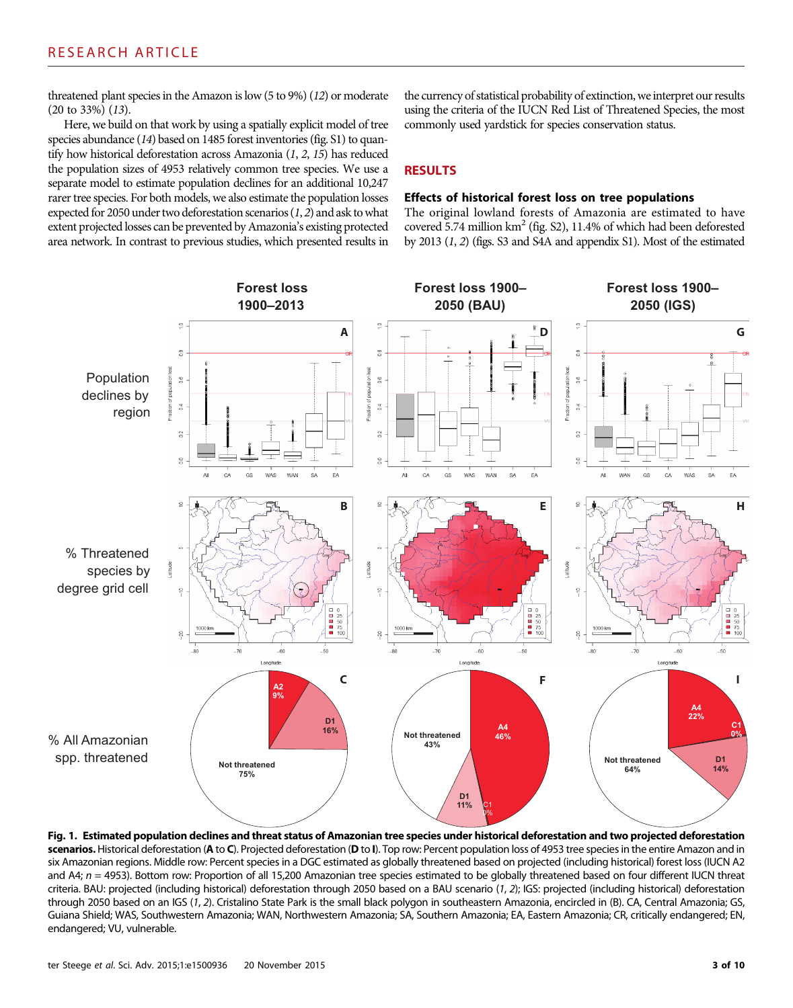threatened plant species in the Amazon is low (5 to 9%) (12) or moderate (20 to 33%) (13).

Here, we build on that work by using a spatially explicit model of tree species abundance (14) based on 1485 forest inventories (fig. S1) to quantify how historical deforestation across Amazonia (1, 2, 15) has reduced the population sizes of 4953 relatively common tree species. We use a separate model to estimate population declines for an additional 10,247 rarer tree species. For both models, we also estimate the population losses expected for 2050 under two deforestation scenarios  $(1, 2)$  and ask to what extent projected losses can be prevented by Amazonia's existing protected area network. In contrast to previous studies, which presented results in

the currency of statistical probability of extinction, we interpret our results using the criteria of the IUCN Red List of Threatened Species, the most commonly used yardstick for species conservation status.

# RESULTS

#### Effects of historical forest loss on tree populations

The original lowland forests of Amazonia are estimated to have covered 5.74 million  $km^2$  (fig. S2), 11.4% of which had been deforested by 2013 (1, 2) (figs. S3 and S4A and appendix S1). Most of the estimated



Fig. 1. Estimated population declines and threat status of Amazonian tree species under historical deforestation and two projected deforestation scenarios. Historical deforestation (A to C). Projected deforestation (D to I). Top row: Percent population loss of 4953 tree species in the entire Amazon and in six Amazonian regions. Middle row: Percent species in a DGC estimated as globally threatened based on projected (including historical) forest loss (IUCN A2 and A4;  $n = 4953$ ). Bottom row: Proportion of all 15,200 Amazonian tree species estimated to be globally threatened based on four different IUCN threat criteria. BAU: projected (including historical) deforestation through 2050 based on a BAU scenario (1, 2); IGS: projected (including historical) deforestation through 2050 based on an IGS (1, 2). Cristalino State Park is the small black polygon in southeastern Amazonia, encircled in (B). CA, Central Amazonia; GS, Guiana Shield; WAS, Southwestern Amazonia; WAN, Northwestern Amazonia; SA, Southern Amazonia; EA, Eastern Amazonia; CR, critically endangered; EN, endangered; VU, vulnerable.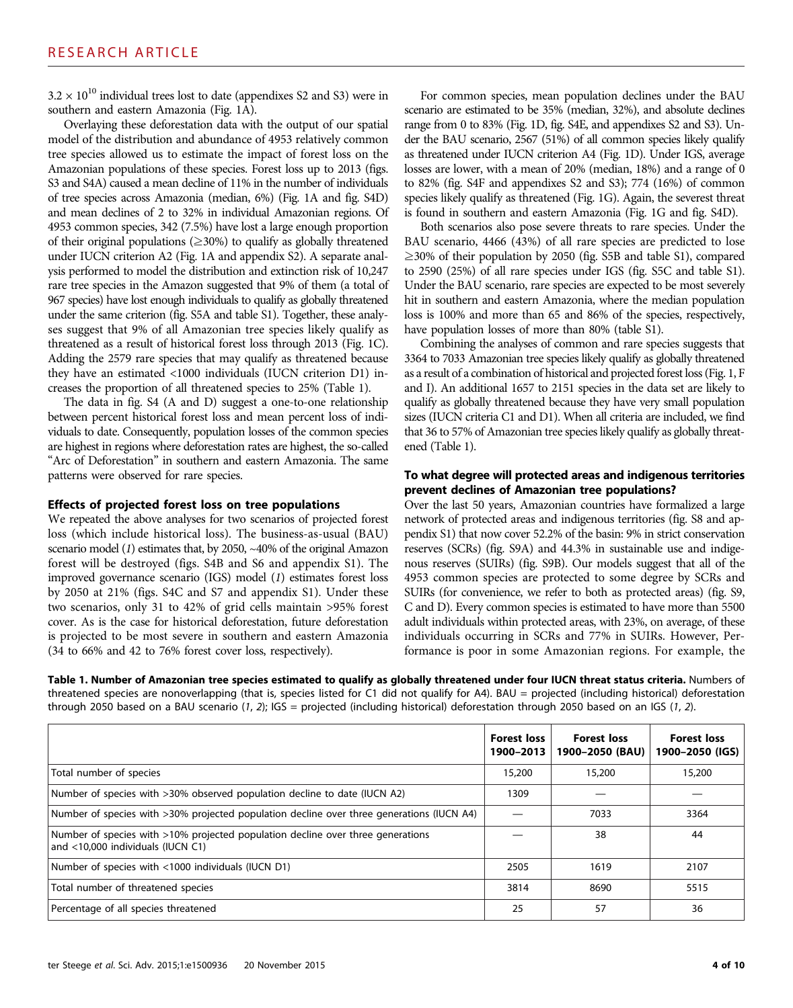$3.2 \times 10^{10}$  individual trees lost to date (appendixes S2 and S3) were in southern and eastern Amazonia (Fig. 1A).

Overlaying these deforestation data with the output of our spatial model of the distribution and abundance of 4953 relatively common tree species allowed us to estimate the impact of forest loss on the Amazonian populations of these species. Forest loss up to 2013 (figs. S3 and S4A) caused a mean decline of 11% in the number of individuals of tree species across Amazonia (median, 6%) (Fig. 1A and fig. S4D) and mean declines of 2 to 32% in individual Amazonian regions. Of 4953 common species, 342 (7.5%) have lost a large enough proportion of their original populations ( $\geq$ 30%) to qualify as globally threatened under IUCN criterion A2 (Fig. 1A and appendix S2). A separate analysis performed to model the distribution and extinction risk of 10,247 rare tree species in the Amazon suggested that 9% of them (a total of 967 species) have lost enough individuals to qualify as globally threatened under the same criterion (fig. S5A and table S1). Together, these analyses suggest that 9% of all Amazonian tree species likely qualify as threatened as a result of historical forest loss through 2013 (Fig. 1C). Adding the 2579 rare species that may qualify as threatened because they have an estimated <1000 individuals (IUCN criterion D1) increases the proportion of all threatened species to 25% (Table 1).

The data in fig. S4 (A and D) suggest a one-to-one relationship between percent historical forest loss and mean percent loss of individuals to date. Consequently, population losses of the common species are highest in regions where deforestation rates are highest, the so-called "Arc of Deforestation" in southern and eastern Amazonia. The same patterns were observed for rare species.

### Effects of projected forest loss on tree populations

We repeated the above analyses for two scenarios of projected forest loss (which include historical loss). The business-as-usual (BAU) scenario model (1) estimates that, by 2050, ~40% of the original Amazon forest will be destroyed (figs. S4B and S6 and appendix S1). The improved governance scenario (IGS) model (1) estimates forest loss by 2050 at 21% (figs. S4C and S7 and appendix S1). Under these two scenarios, only 31 to 42% of grid cells maintain >95% forest cover. As is the case for historical deforestation, future deforestation is projected to be most severe in southern and eastern Amazonia (34 to 66% and 42 to 76% forest cover loss, respectively).

For common species, mean population declines under the BAU scenario are estimated to be 35% (median, 32%), and absolute declines range from 0 to 83% (Fig. 1D, fig. S4E, and appendixes S2 and S3). Under the BAU scenario, 2567 (51%) of all common species likely qualify as threatened under IUCN criterion A4 (Fig. 1D). Under IGS, average losses are lower, with a mean of 20% (median, 18%) and a range of 0 to 82% (fig. S4F and appendixes S2 and S3); 774 (16%) of common species likely qualify as threatened (Fig. 1G). Again, the severest threat is found in southern and eastern Amazonia (Fig. 1G and fig. S4D).

Both scenarios also pose severe threats to rare species. Under the BAU scenario, 4466 (43%) of all rare species are predicted to lose ≥30% of their population by 2050 (fig. S5B and table S1), compared to 2590 (25%) of all rare species under IGS (fig. S5C and table S1). Under the BAU scenario, rare species are expected to be most severely hit in southern and eastern Amazonia, where the median population loss is 100% and more than 65 and 86% of the species, respectively, have population losses of more than 80% (table S1).

Combining the analyses of common and rare species suggests that 3364 to 7033 Amazonian tree species likely qualify as globally threatened as a result of a combination of historical and projected forest loss (Fig. 1, F and I). An additional 1657 to 2151 species in the data set are likely to qualify as globally threatened because they have very small population sizes (IUCN criteria C1 and D1). When all criteria are included, we find that 36 to 57% of Amazonian tree species likely qualify as globally threatened (Table 1).

### To what degree will protected areas and indigenous territories prevent declines of Amazonian tree populations?

Over the last 50 years, Amazonian countries have formalized a large network of protected areas and indigenous territories (fig. S8 and appendix S1) that now cover 52.2% of the basin: 9% in strict conservation reserves (SCRs) (fig. S9A) and 44.3% in sustainable use and indigenous reserves (SUIRs) (fig. S9B). Our models suggest that all of the 4953 common species are protected to some degree by SCRs and SUIRs (for convenience, we refer to both as protected areas) (fig. S9, C and D). Every common species is estimated to have more than 5500 adult individuals within protected areas, with 23%, on average, of these individuals occurring in SCRs and 77% in SUIRs. However, Performance is poor in some Amazonian regions. For example, the

Table 1. Number of Amazonian tree species estimated to qualify as globally threatened under four IUCN threat status criteria. Numbers of threatened species are nonoverlapping (that is, species listed for C1 did not qualify for A4). BAU = projected (including historical) deforestation through 2050 based on a BAU scenario (1, 2); IGS = projected (including historical) deforestation through 2050 based on an IGS (1, 2).

|                                                                                                                      | <b>Forest loss</b><br>1900-2013 | <b>Forest loss</b><br>1900-2050 (BAU) | <b>Forest loss</b><br>1900-2050 (IGS) |
|----------------------------------------------------------------------------------------------------------------------|---------------------------------|---------------------------------------|---------------------------------------|
| Total number of species                                                                                              | 15,200                          | 15,200                                | 15,200                                |
| Number of species with >30% observed population decline to date (IUCN A2)                                            | 1309                            |                                       |                                       |
| Number of species with >30% projected population decline over three generations (IUCN A4)                            |                                 | 7033                                  | 3364                                  |
| Number of species with >10% projected population decline over three generations<br>and <10,000 individuals (IUCN C1) |                                 | 38                                    | 44                                    |
| Number of species with <1000 individuals (IUCN D1)                                                                   | 2505                            | 1619                                  | 2107                                  |
| Total number of threatened species                                                                                   | 3814                            | 8690                                  | 5515                                  |
| Percentage of all species threatened                                                                                 | 25                              | 57                                    | 36                                    |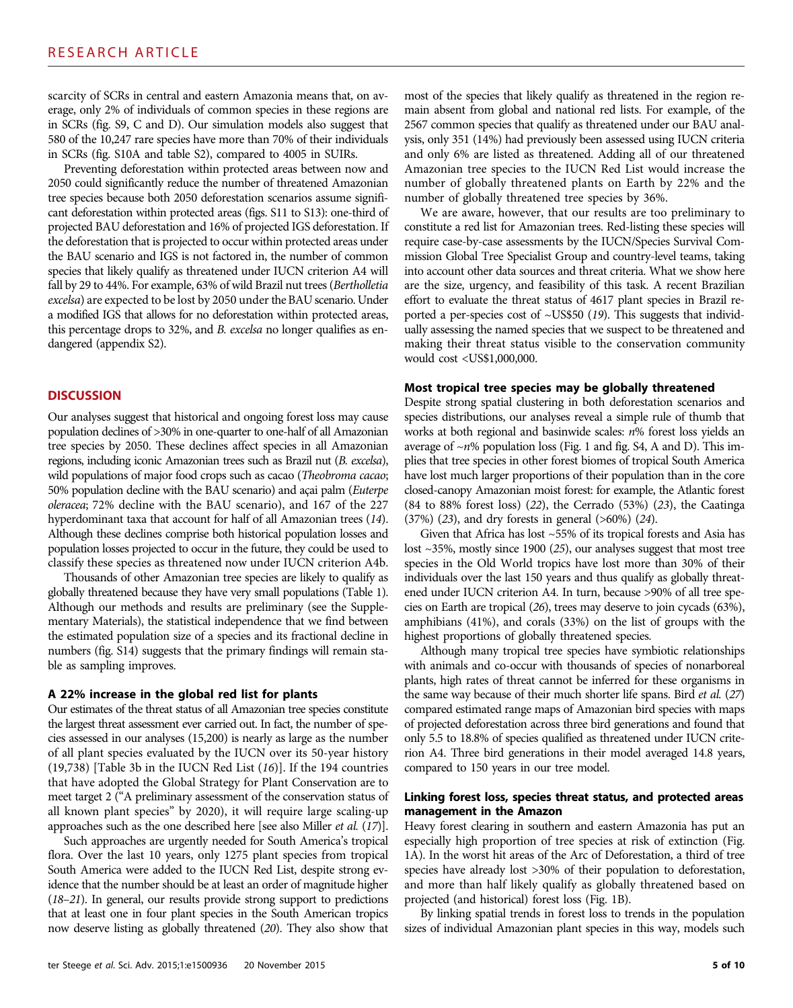scarcity of SCRs in central and eastern Amazonia means that, on average, only 2% of individuals of common species in these regions are in SCRs (fig. S9, C and D). Our simulation models also suggest that 580 of the 10,247 rare species have more than 70% of their individuals in SCRs (fig. S10A and table S2), compared to 4005 in SUIRs.

Preventing deforestation within protected areas between now and 2050 could significantly reduce the number of threatened Amazonian tree species because both 2050 deforestation scenarios assume significant deforestation within protected areas (figs. S11 to S13): one-third of projected BAU deforestation and 16% of projected IGS deforestation. If the deforestation that is projected to occur within protected areas under the BAU scenario and IGS is not factored in, the number of common species that likely qualify as threatened under IUCN criterion A4 will fall by 29 to 44%. For example, 63% of wild Brazil nut trees (Bertholletia excelsa) are expected to be lost by 2050 under the BAU scenario. Under a modified IGS that allows for no deforestation within protected areas, this percentage drops to 32%, and B. excelsa no longer qualifies as endangered (appendix S2).

#### **DISCUSSION**

Our analyses suggest that historical and ongoing forest loss may cause population declines of >30% in one-quarter to one-half of all Amazonian tree species by 2050. These declines affect species in all Amazonian regions, including iconic Amazonian trees such as Brazil nut (B. excelsa), wild populations of major food crops such as cacao (Theobroma cacao; 50% population decline with the BAU scenario) and açai palm (Euterpe oleracea; 72% decline with the BAU scenario), and 167 of the 227 hyperdominant taxa that account for half of all Amazonian trees (14). Although these declines comprise both historical population losses and population losses projected to occur in the future, they could be used to classify these species as threatened now under IUCN criterion A4b.

Thousands of other Amazonian tree species are likely to qualify as globally threatened because they have very small populations (Table 1). Although our methods and results are preliminary (see the Supplementary Materials), the statistical independence that we find between the estimated population size of a species and its fractional decline in numbers (fig. S14) suggests that the primary findings will remain stable as sampling improves.

#### A 22% increase in the global red list for plants

Our estimates of the threat status of all Amazonian tree species constitute the largest threat assessment ever carried out. In fact, the number of species assessed in our analyses (15,200) is nearly as large as the number of all plant species evaluated by the IUCN over its 50-year history (19,738) [Table 3b in the IUCN Red List (16)]. If the 194 countries that have adopted the Global Strategy for Plant Conservation are to meet target 2 ("A preliminary assessment of the conservation status of all known plant species" by 2020), it will require large scaling-up approaches such as the one described here [see also Miller et al. (17)].

Such approaches are urgently needed for South America's tropical flora. Over the last 10 years, only 1275 plant species from tropical South America were added to the IUCN Red List, despite strong evidence that the number should be at least an order of magnitude higher (18–21). In general, our results provide strong support to predictions that at least one in four plant species in the South American tropics now deserve listing as globally threatened (20). They also show that

most of the species that likely qualify as threatened in the region remain absent from global and national red lists. For example, of the 2567 common species that qualify as threatened under our BAU analysis, only 351 (14%) had previously been assessed using IUCN criteria and only 6% are listed as threatened. Adding all of our threatened Amazonian tree species to the IUCN Red List would increase the number of globally threatened plants on Earth by 22% and the number of globally threatened tree species by 36%.

We are aware, however, that our results are too preliminary to constitute a red list for Amazonian trees. Red-listing these species will require case-by-case assessments by the IUCN/Species Survival Commission Global Tree Specialist Group and country-level teams, taking into account other data sources and threat criteria. What we show here are the size, urgency, and feasibility of this task. A recent Brazilian effort to evaluate the threat status of 4617 plant species in Brazil reported a per-species cost of  $\sim$ US\$50 (19). This suggests that individually assessing the named species that we suspect to be threatened and making their threat status visible to the conservation community would cost <US\$1,000,000.

#### Most tropical tree species may be globally threatened

Despite strong spatial clustering in both deforestation scenarios and species distributions, our analyses reveal a simple rule of thumb that works at both regional and basinwide scales:  $n\%$  forest loss yields an average of  $\sim n\%$  population loss (Fig. 1 and fig. S4, A and D). This implies that tree species in other forest biomes of tropical South America have lost much larger proportions of their population than in the core closed-canopy Amazonian moist forest: for example, the Atlantic forest (84 to 88% forest loss) (22), the Cerrado (53%) (23), the Caatinga (37%) (23), and dry forests in general (>60%) (24).

Given that Africa has lost ~55% of its tropical forests and Asia has lost ~35%, mostly since 1900 (25), our analyses suggest that most tree species in the Old World tropics have lost more than 30% of their individuals over the last 150 years and thus qualify as globally threatened under IUCN criterion A4. In turn, because >90% of all tree species on Earth are tropical (26), trees may deserve to join cycads (63%), amphibians (41%), and corals (33%) on the list of groups with the highest proportions of globally threatened species.

Although many tropical tree species have symbiotic relationships with animals and co-occur with thousands of species of nonarboreal plants, high rates of threat cannot be inferred for these organisms in the same way because of their much shorter life spans. Bird et al. (27) compared estimated range maps of Amazonian bird species with maps of projected deforestation across three bird generations and found that only 5.5 to 18.8% of species qualified as threatened under IUCN criterion A4. Three bird generations in their model averaged 14.8 years, compared to 150 years in our tree model.

#### Linking forest loss, species threat status, and protected areas management in the Amazon

Heavy forest clearing in southern and eastern Amazonia has put an especially high proportion of tree species at risk of extinction (Fig. 1A). In the worst hit areas of the Arc of Deforestation, a third of tree species have already lost >30% of their population to deforestation, and more than half likely qualify as globally threatened based on projected (and historical) forest loss (Fig. 1B).

By linking spatial trends in forest loss to trends in the population sizes of individual Amazonian plant species in this way, models such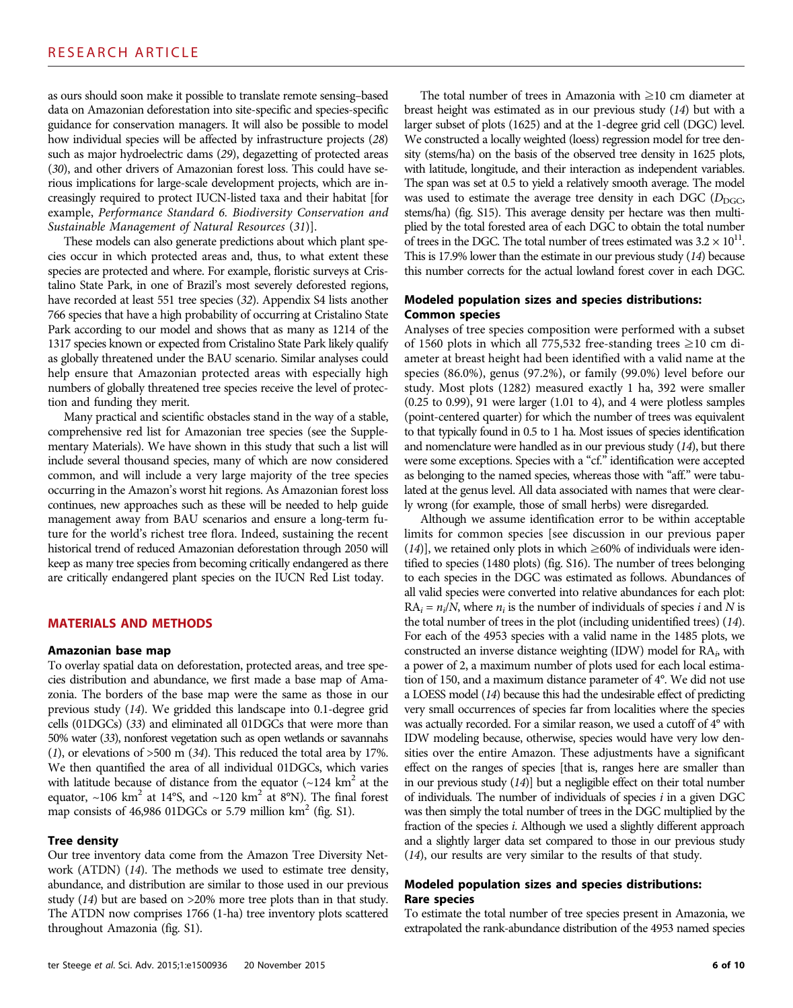as ours should soon make it possible to translate remote sensing–based data on Amazonian deforestation into site-specific and species-specific guidance for conservation managers. It will also be possible to model how individual species will be affected by infrastructure projects (28) such as major hydroelectric dams (29), degazetting of protected areas (30), and other drivers of Amazonian forest loss. This could have serious implications for large-scale development projects, which are increasingly required to protect IUCN-listed taxa and their habitat [for example, Performance Standard 6. Biodiversity Conservation and Sustainable Management of Natural Resources (31)].

These models can also generate predictions about which plant species occur in which protected areas and, thus, to what extent these species are protected and where. For example, floristic surveys at Cristalino State Park, in one of Brazil's most severely deforested regions, have recorded at least 551 tree species (32). Appendix S4 lists another 766 species that have a high probability of occurring at Cristalino State Park according to our model and shows that as many as 1214 of the 1317 species known or expected from Cristalino State Park likely qualify as globally threatened under the BAU scenario. Similar analyses could help ensure that Amazonian protected areas with especially high numbers of globally threatened tree species receive the level of protection and funding they merit.

Many practical and scientific obstacles stand in the way of a stable, comprehensive red list for Amazonian tree species (see the Supplementary Materials). We have shown in this study that such a list will include several thousand species, many of which are now considered common, and will include a very large majority of the tree species occurring in the Amazon's worst hit regions. As Amazonian forest loss continues, new approaches such as these will be needed to help guide management away from BAU scenarios and ensure a long-term future for the world's richest tree flora. Indeed, sustaining the recent historical trend of reduced Amazonian deforestation through 2050 will keep as many tree species from becoming critically endangered as there are critically endangered plant species on the IUCN Red List today.

### MATERIALS AND METHODS

#### Amazonian base map

To overlay spatial data on deforestation, protected areas, and tree species distribution and abundance, we first made a base map of Amazonia. The borders of the base map were the same as those in our previous study (14). We gridded this landscape into 0.1-degree grid cells (01DGCs) (33) and eliminated all 01DGCs that were more than 50% water (33), nonforest vegetation such as open wetlands or savannahs (1), or elevations of  $>500$  m (34). This reduced the total area by 17%. We then quantified the area of all individual 01DGCs, which varies with latitude because of distance from the equator  $(-124 \text{ km}^2 \text{ at the}$ equator,  $\sim$ 106 km<sup>2</sup> at 14°S, and  $\sim$ 120 km<sup>2</sup> at 8°N). The final forest map consists of 46,986 01DGCs or 5.79 million  $km^2$  (fig. S1).

#### Tree density

Our tree inventory data come from the Amazon Tree Diversity Network (ATDN) (14). The methods we used to estimate tree density, abundance, and distribution are similar to those used in our previous study (14) but are based on >20% more tree plots than in that study. The ATDN now comprises 1766 (1-ha) tree inventory plots scattered throughout Amazonia (fig. S1).

The total number of trees in Amazonia with ≥10 cm diameter at breast height was estimated as in our previous study (14) but with a larger subset of plots (1625) and at the 1-degree grid cell (DGC) level. We constructed a locally weighted (loess) regression model for tree density (stems/ha) on the basis of the observed tree density in 1625 plots, with latitude, longitude, and their interaction as independent variables. The span was set at 0.5 to yield a relatively smooth average. The model was used to estimate the average tree density in each DGC  $(D_{\text{DGC}},)$ stems/ha) (fig. S15). This average density per hectare was then multiplied by the total forested area of each DGC to obtain the total number of trees in the DGC. The total number of trees estimated was  $3.2 \times 10^{11}$ . This is 17.9% lower than the estimate in our previous study (14) because this number corrects for the actual lowland forest cover in each DGC.

# Modeled population sizes and species distributions: Common species

Analyses of tree species composition were performed with a subset of 1560 plots in which all 775,532 free-standing trees  $\geq$ 10 cm diameter at breast height had been identified with a valid name at the species (86.0%), genus (97.2%), or family (99.0%) level before our study. Most plots (1282) measured exactly 1 ha, 392 were smaller (0.25 to 0.99), 91 were larger (1.01 to 4), and 4 were plotless samples (point-centered quarter) for which the number of trees was equivalent to that typically found in 0.5 to 1 ha. Most issues of species identification and nomenclature were handled as in our previous study  $(14)$ , but there were some exceptions. Species with a "cf." identification were accepted as belonging to the named species, whereas those with "aff." were tabulated at the genus level. All data associated with names that were clearly wrong (for example, those of small herbs) were disregarded.

Although we assume identification error to be within acceptable limits for common species [see discussion in our previous paper (14)], we retained only plots in which  $\geq$ 60% of individuals were identified to species (1480 plots) (fig. S16). The number of trees belonging to each species in the DGC was estimated as follows. Abundances of all valid species were converted into relative abundances for each plot:  $RA_i = n_i/N$ , where  $n_i$  is the number of individuals of species *i* and *N* is the total number of trees in the plot (including unidentified trees) (14). For each of the 4953 species with a valid name in the 1485 plots, we constructed an inverse distance weighting (IDW) model for  $RA<sub>i</sub>$ , with a power of 2, a maximum number of plots used for each local estimation of 150, and a maximum distance parameter of 4°. We did not use a LOESS model (14) because this had the undesirable effect of predicting very small occurrences of species far from localities where the species was actually recorded. For a similar reason, we used a cutoff of 4° with IDW modeling because, otherwise, species would have very low densities over the entire Amazon. These adjustments have a significant effect on the ranges of species [that is, ranges here are smaller than in our previous study (14)] but a negligible effect on their total number of individuals. The number of individuals of species  $i$  in a given DGC was then simply the total number of trees in the DGC multiplied by the fraction of the species i. Although we used a slightly different approach and a slightly larger data set compared to those in our previous study (14), our results are very similar to the results of that study.

## Modeled population sizes and species distributions: Rare species

To estimate the total number of tree species present in Amazonia, we extrapolated the rank-abundance distribution of the 4953 named species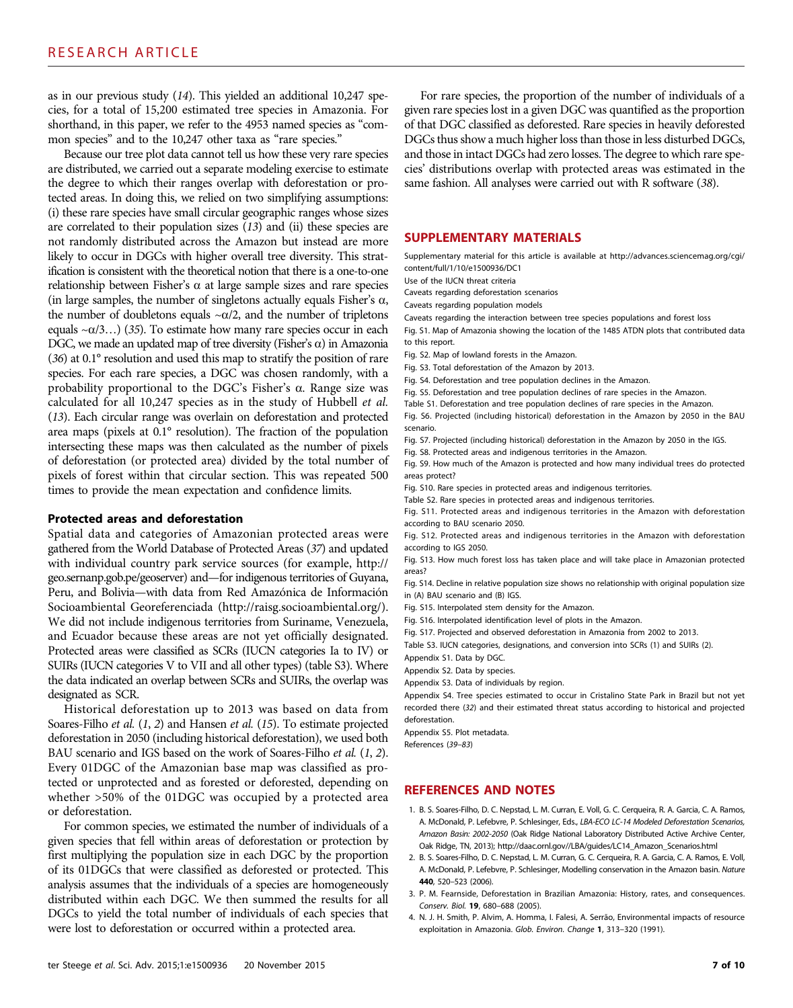as in our previous study (14). This yielded an additional 10,247 species, for a total of 15,200 estimated tree species in Amazonia. For shorthand, in this paper, we refer to the 4953 named species as "common species" and to the 10,247 other taxa as "rare species."

Because our tree plot data cannot tell us how these very rare species are distributed, we carried out a separate modeling exercise to estimate the degree to which their ranges overlap with deforestation or protected areas. In doing this, we relied on two simplifying assumptions: (i) these rare species have small circular geographic ranges whose sizes are correlated to their population sizes (13) and (ii) these species are not randomly distributed across the Amazon but instead are more likely to occur in DGCs with higher overall tree diversity. This stratification is consistent with the theoretical notion that there is a one-to-one relationship between Fisher's  $\alpha$  at large sample sizes and rare species (in large samples, the number of singletons actually equals Fisher's  $\alpha$ , the number of doubletons equals  $-\alpha/2$ , and the number of tripletons equals  $\sim \alpha/3$ ...) (35). To estimate how many rare species occur in each DGC, we made an updated map of tree diversity (Fisher's  $\alpha$ ) in Amazonia (36) at 0.1° resolution and used this map to stratify the position of rare species. For each rare species, a DGC was chosen randomly, with a probability proportional to the DGC's Fisher's  $\alpha$ . Range size was calculated for all 10,247 species as in the study of Hubbell et al. (13). Each circular range was overlain on deforestation and protected area maps (pixels at 0.1° resolution). The fraction of the population intersecting these maps was then calculated as the number of pixels of deforestation (or protected area) divided by the total number of pixels of forest within that circular section. This was repeated 500 times to provide the mean expectation and confidence limits.

#### Protected areas and deforestation

Spatial data and categories of Amazonian protected areas were gathered from the World Database of Protected Areas (37) and updated with individual country park service sources (for example, [http://](http://geo.sernanp.gob.pe/geoserver) geo.sernanp.gob.pe/geoserver) and—[for indigenous territories of Guyana,](http://geo.sernanp.gob.pe/geoserver) Peru, and Bolivia—[with data from Red Amazónica de Información](http://geo.sernanp.gob.pe/geoserver) [Socioambiental Georeferenciada \(http://raisg.socioambiental.org/\).](http://raisg.socioambiental.org/) [We did not include indigenous territories from Suriname, Venezuela,](http://raisg.socioambiental.org/) [and Ecuador because these areas are not yet officially designated.](http://raisg.socioambiental.org/) [Protected areas were classified as SCRs \(IUCN categories Ia to IV\) or](http://raisg.socioambiental.org/) [SUIRs \(IUCN categories V to VII and all other types\) \(table S3\). Where](http://raisg.socioambiental.org/) [the data indicated an overlap between SCRs and SUIRs, the overlap was](http://raisg.socioambiental.org/) [designated as SCR.](http://raisg.socioambiental.org/)

Historical deforestation up to 2013 was based on data from Soares-Filho et al. (1, 2) and Hansen et al. (15). To estimate projected deforestation in 2050 (including historical deforestation), we used both BAU scenario and IGS based on the work of Soares-Filho et al. (1, 2). Every 01DGC of the Amazonian base map was classified as protected or unprotected and as forested or deforested, depending on whether >50% of the 01DGC was occupied by a protected area or deforestation.

For common species, we estimated the number of individuals of a given species that fell within areas of deforestation or protection by first multiplying the population size in each DGC by the proportion of its 01DGCs that were classified as deforested or protected. This analysis assumes that the individuals of a species are homogeneously distributed within each DGC. We then summed the results for all DGCs to yield the total number of individuals of each species that were lost to deforestation or occurred within a protected area.

For rare species, the proportion of the number of individuals of a given rare species lost in a given DGC was quantified as the proportion of that DGC classified as deforested. Rare species in heavily deforested DGCs thus show a much higher loss than those in less disturbed DGCs, and those in intact DGCs had zero losses. The degree to which rare species' distributions overlap with protected areas was estimated in the same fashion. All analyses were carried out with R software (38).

# SUPPLEMENTARY MATERIALS

Supplementary material for this article is available at [http://advances.sciencemag.org/cgi/](http://advances.sciencemag.org/cgi/content/full/1/10/e1500936/DC1) [content/full/1/10/e1500936/DC1](http://advances.sciencemag.org/cgi/content/full/1/10/e1500936/DC1)

Use of the IUCN threat criteria

Caveats regarding deforestation scenarios

Caveats regarding population models

Caveats regarding the interaction between tree species populations and forest loss Fig. S1. Map of Amazonia showing the location of the 1485 ATDN plots that contributed data

to this report.

Fig. S2. Map of lowland forests in the Amazon.

Fig. S3. Total deforestation of the Amazon by 2013. Fig. S4. Deforestation and tree population declines in the Amazon.

Fig. S5. Deforestation and tree population declines of rare species in the Amazon. Table S1. Deforestation and tree population declines of rare species in the Amazon.

Fig. S6. Projected (including historical) deforestation in the Amazon by 2050 in the BAU scenario.

Fig. S7. Projected (including historical) deforestation in the Amazon by 2050 in the IGS.

Fig. S8. Protected areas and indigenous territories in the Amazon.

Fig. S9. How much of the Amazon is protected and how many individual trees do protected areas protect?

Fig. S10. Rare species in protected areas and indigenous territories.

Table S2. Rare species in protected areas and indigenous territories.

Fig. S11. Protected areas and indigenous territories in the Amazon with deforestation according to BAU scenario 2050.

Fig. S12. Protected areas and indigenous territories in the Amazon with deforestation according to IGS 2050.

Fig. S13. How much forest loss has taken place and will take place in Amazonian protected areas?

Fig. S14. Decline in relative population size shows no relationship with original population size in (A) BAU scenario and (B) IGS.

Fig. S15. Interpolated stem density for the Amazon.

Fig. S16. Interpolated identification level of plots in the Amazon.

Fig. S17. Projected and observed deforestation in Amazonia from 2002 to 2013.

Table S3. IUCN categories, designations, and conversion into SCRs (1) and SUIRs (2).

Appendix S1. Data by DGC.

Appendix S2. Data by species.

Appendix S3. Data of individuals by region.

Appendix S4. Tree species estimated to occur in Cristalino State Park in Brazil but not yet recorded there (32) and their estimated threat status according to historical and projected deforestation.

Appendix S5. Plot metadata.

References (39–83)

# REFERENCES AND NOTES

- 1. B. S. Soares-Filho, D. C. Nepstad, L. M. Curran, E. Voll, G. C. Cerqueira, R. A. Garcia, C. A. Ramos, A. McDonald, P. Lefebvre, P. Schlesinger, Eds., LBA-ECO LC-14 Modeled Deforestation Scenarios, Amazon Basin: 2002-2050 (Oak Ridge National Laboratory Distributed Active Archive Center, Oak Ridge, TN, 2013); [http://daac.ornl.gov//LBA/guides/LC14\\_Amazon\\_Scenarios.html](http://daac.ornl.gov//LBA/guides/LC14_Amazon_Scenarios.html)
- 2. B. S. Soares-Filho, D. C. Nepstad, L. M. Curran, G. C. Cerqueira, R. A. Garcia, C. A. Ramos, E. Voll, A. McDonald, P. Lefebvre, P. Schlesinger, Modelling conservation in the Amazon basin. Nature 440, 520–523 (2006).
- 3. P. M. Fearnside, Deforestation in Brazilian Amazonia: History, rates, and consequences. Conserv. Biol. 19, 680–688 (2005).
- 4. N. J. H. Smith, P. Alvim, A. Homma, I. Falesi, A. Serrão, Environmental impacts of resource exploitation in Amazonia. Glob. Environ. Change 1, 313–320 (1991).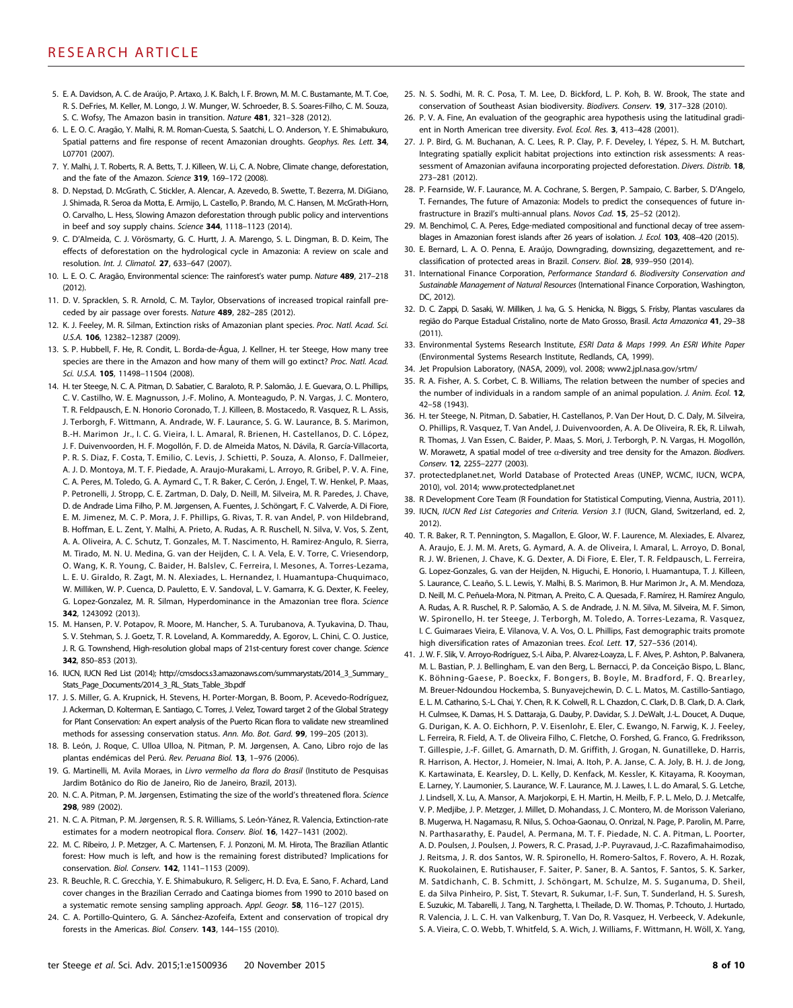- 5. E. A. Davidson, A. C. de Araújo, P. Artaxo, J. K. Balch, I. F. Brown, M. M. C. Bustamante, M. T. Coe, R. S. DeFries, M. Keller, M. Longo, J. W. Munger, W. Schroeder, B. S. Soares-Filho, C. M. Souza, S. C. Wofsy, The Amazon basin in transition. Nature 481, 321–328 (2012).
- 6. L. E. O. C. Aragão, Y. Malhi, R. M. Roman-Cuesta, S. Saatchi, L. O. Anderson, Y. E. Shimabukuro, Spatial patterns and fire response of recent Amazonian droughts. Geophys. Res. Lett. 34, L07701 (2007).
- 7. Y. Malhi, J. T. Roberts, R. A. Betts, T. J. Killeen, W. Li, C. A. Nobre, Climate change, deforestation, and the fate of the Amazon. Science 319, 169-172 (2008).
- 8. D. Nepstad, D. McGrath, C. Stickler, A. Alencar, A. Azevedo, B. Swette, T. Bezerra, M. DiGiano, J. Shimada, R. Seroa da Motta, E. Armijo, L. Castello, P. Brando, M. C. Hansen, M. McGrath-Horn, O. Carvalho, L. Hess, Slowing Amazon deforestation through public policy and interventions in beef and soy supply chains. Science 344, 1118-1123 (2014).
- 9. C. D'Almeida, C. J. Vörösmarty, G. C. Hurtt, J. A. Marengo, S. L. Dingman, B. D. Keim, The effects of deforestation on the hydrological cycle in Amazonia: A review on scale and resolution. Int. J. Climatol. 27, 633–647 (2007).
- 10. L. E. O. C. Aragão, Environmental science: The rainforest's water pump. Nature 489, 217–218 (2012).
- 11. D. V. Spracklen, S. R. Arnold, C. M. Taylor, Observations of increased tropical rainfall preceded by air passage over forests. Nature 489, 282–285 (2012).
- 12. K. J. Feeley, M. R. Silman, Extinction risks of Amazonian plant species. Proc. Natl. Acad. Sci. U.S.A. 106, 12382–12387 (2009).
- 13. S. P. Hubbell, F. He, R. Condit, L. Borda-de-Água, J. Kellner, H. ter Steege, How many tree species are there in the Amazon and how many of them will go extinct? Proc. Natl. Acad. Sci. U.S.A. 105, 11498-11504 (2008).
- 14. H. ter Steege, N. C. A. Pitman, D. Sabatier, C. Baraloto, R. P. Salomão, J. E. Guevara, O. L. Phillips, C. V. Castilho, W. E. Magnusson, J.-F. Molino, A. Monteagudo, P. N. Vargas, J. C. Montero, T. R. Feldpausch, E. N. Honorio Coronado, T. J. Killeen, B. Mostacedo, R. Vasquez, R. L. Assis, J. Terborgh, F. Wittmann, A. Andrade, W. F. Laurance, S. G. W. Laurance, B. S. Marimon, B.-H. Marimon Jr., I. C. G. Vieira, I. L. Amaral, R. Brienen, H. Castellanos, D. C. López, J. F. Duivenvoorden, H. F. Mogollón, F. D. de Almeida Matos, N. Dávila, R. García-Villacorta, P. R. S. Diaz, F. Costa, T. Emilio, C. Levis, J. Schietti, P. Souza, A. Alonso, F. Dallmeier, A. J. D. Montoya, M. T. F. Piedade, A. Araujo-Murakami, L. Arroyo, R. Gribel, P. V. A. Fine, C. A. Peres, M. Toledo, G. A. Aymard C., T. R. Baker, C. Cerón, J. Engel, T. W. Henkel, P. Maas, P. Petronelli, J. Stropp, C. E. Zartman, D. Daly, D. Neill, M. Silveira, M. R. Paredes, J. Chave, D. de Andrade Lima Filho, P. M. Jørgensen, A. Fuentes, J. Schöngart, F. C. Valverde, A. Di Fiore, E. M. Jimenez, M. C. P. Mora, J. F. Phillips, G. Rivas, T. R. van Andel, P. von Hildebrand, B. Hoffman, E. L. Zent, Y. Malhi, A. Prieto, A. Rudas, A. R. Ruschell, N. Silva, V. Vos, S. Zent, A. A. Oliveira, A. C. Schutz, T. Gonzales, M. T. Nascimento, H. Ramirez-Angulo, R. Sierra, M. Tirado, M. N. U. Medina, G. van der Heijden, C. I. A. Vela, E. V. Torre, C. Vriesendorp, O. Wang, K. R. Young, C. Baider, H. Balslev, C. Ferreira, I. Mesones, A. Torres-Lezama, L. E. U. Giraldo, R. Zagt, M. N. Alexiades, L. Hernandez, I. Huamantupa-Chuquimaco, W. Milliken, W. P. Cuenca, D. Pauletto, E. V. Sandoval, L. V. Gamarra, K. G. Dexter, K. Feeley, G. Lopez-Gonzalez, M. R. Silman, Hyperdominance in the Amazonian tree flora. Science 342, 1243092 (2013).
- 15. M. Hansen, P. V. Potapov, R. Moore, M. Hancher, S. A. Turubanova, A. Tyukavina, D. Thau, S. V. Stehman, S. J. Goetz, T. R. Loveland, A. Kommareddy, A. Egorov, L. Chini, C. O. Justice, J. R. G. Townshend, High-resolution global maps of 21st-century forest cover change. Science 342, 850–853 (2013).
- 16. IUCN, IUCN Red List (2014); [http://cmsdocs.s3.amazonaws.com/summarystats/2014\\_3\\_Summary\\_](http://cmsdocs.s3.amazonaws.com/summarystats/2014_3_Summary_Stats_Page_Documents/2014_3_RL_Stats_Table_3b.pdf) [Stats\\_Page\\_Documents/2014\\_3\\_RL\\_Stats\\_Table\\_3b.pdf](http://cmsdocs.s3.amazonaws.com/summarystats/2014_3_Summary_Stats_Page_Documents/2014_3_RL_Stats_Table_3b.pdf)
- 17. J. S. Miller, G. A. Krupnick, H. Stevens, H. Porter-Morgan, B. Boom, P. Acevedo-Rodríguez, J. Ackerman, D. Kolterman, E. Santiago, C. Torres, J. Velez, Toward target 2 of the Global Strategy for Plant Conservation: An expert analysis of the Puerto Rican flora to validate new streamlined methods for assessing conservation status. Ann. Mo. Bot. Gard. 99, 199-205 (2013).
- 18. B. León, J. Roque, C. Ulloa Ulloa, N. Pitman, P. M. Jørgensen, A. Cano, Libro rojo de las plantas endémicas del Perú. Rev. Peruana Biol. 13, 1-976 (2006).
- 19. G. Martinelli, M. Avila Moraes, in Livro vermelho da flora do Brasil (Instituto de Pesquisas Jardim Botânico do Rio de Janeiro, Rio de Janeiro, Brazil, 2013).
- 20. N. C. A. Pitman, P. M. Jørgensen, Estimating the size of the world's threatened flora. Science 298, 989 (2002).
- 21. N. C. A. Pitman, P. M. Jørgensen, R. S. R. Williams, S. León-Yánez, R. Valencia, Extinction-rate estimates for a modern neotropical flora. Conserv. Biol. 16, 1427-1431 (2002).
- 22. M. C. Ribeiro, J. P. Metzger, A. C. Martensen, F. J. Ponzoni, M. M. Hirota, The Brazilian Atlantic forest: How much is left, and how is the remaining forest distributed? Implications for conservation. Biol. Conserv. 142, 1141–1153 (2009).
- 23. R. Beuchle, R. C. Grecchia, Y. E. Shimabukuro, R. Seligerc, H. D. Eva, E. Sano, F. Achard, Land cover changes in the Brazilian Cerrado and Caatinga biomes from 1990 to 2010 based on a systematic remote sensing sampling approach. Appl. Geogr. 58, 116–127 (2015).
- 24. C. A. Portillo-Quintero, G. A. Sánchez-Azofeifa, Extent and conservation of tropical dry forests in the Americas. Biol. Conserv. 143, 144–155 (2010).
- 25. N. S. Sodhi, M. R. C. Posa, T. M. Lee, D. Bickford, L. P. Koh, B. W. Brook, The state and conservation of Southeast Asian biodiversity. Biodivers. Conserv. 19, 317–328 (2010).
- 26. P. V. A. Fine, An evaluation of the geographic area hypothesis using the latitudinal gradient in North American tree diversity. Evol. Ecol. Res. 3, 413–428 (2001).
- 27. J. P. Bird, G. M. Buchanan, A. C. Lees, R. P. Clay, P. F. Develey, I. Yépez, S. H. M. Butchart, Integrating spatially explicit habitat projections into extinction risk assessments: A reassessment of Amazonian avifauna incorporating projected deforestation. Divers. Distrib. 18, 273–281 (2012).
- 28. P. Fearnside, W. F. Laurance, M. A. Cochrane, S. Bergen, P. Sampaio, C. Barber, S. D'Angelo, T. Fernandes, The future of Amazonia: Models to predict the consequences of future infrastructure in Brazil's multi-annual plans. Novos Cad. 15, 25–52 (2012).
- 29. M. Benchimol, C. A. Peres, Edge-mediated compositional and functional decay of tree assemblages in Amazonian forest islands after 26 years of isolation. J. Ecol. 103, 408-420 (2015).
- 30. E. Bernard, L. A. O. Penna, E. Araújo, Downgrading, downsizing, degazettement, and reclassification of protected areas in Brazil. Conserv. Biol. 28, 939–950 (2014).
- 31. International Finance Corporation, Performance Standard 6. Biodiversity Conservation and Sustainable Management of Natural Resources (International Finance Corporation, Washington, DC, 2012).
- 32. D. C. Zappi, D. Sasaki, W. Milliken, J. Iva, G. S. Henicka, N. Biggs, S. Frisby, Plantas vasculares da região do Parque Estadual Cristalino, norte de Mato Grosso, Brasil. Acta Amazonica 41, 29–38 (2011).
- 33. Environmental Systems Research Institute, ESRI Data & Maps 1999. An ESRI White Paper (Environmental Systems Research Institute, Redlands, CA, 1999).
- 34. Jet Propulsion Laboratory, (NASA, 2009), vol. 2008; [www2.jpl.nasa.gov/srtm/](http://www2.jpl.nasa.gov/srtm/)
- 35. R. A. Fisher, A. S. Corbet, C. B. Williams, The relation between the number of species and the number of individuals in a random sample of an animal population. J. Anim. Ecol. 12, 42–58 (1943).
- 36. H. ter Steege, N. Pitman, D. Sabatier, H. Castellanos, P. Van Der Hout, D. C. Daly, M. Silveira, O. Phillips, R. Vasquez, T. Van Andel, J. Duivenvoorden, A. A. De Oliveira, R. Ek, R. Lilwah, R. Thomas, J. Van Essen, C. Baider, P. Maas, S. Mori, J. Terborgh, P. N. Vargas, H. Mogollón, W. Morawetz, A spatial model of tree  $\alpha$ -diversity and tree density for the Amazon. Biodivers. Conserv. 12, 2255–2277 (2003).
- 37. protectedplanet.net, World Database of Protected Areas (UNEP, WCMC, IUCN, WCPA, 2010), vol. 2014; [www.protectedplanet.net](http://www.protectedplanet.net)
- 38. R Development Core Team (R Foundation for Statistical Computing, Vienna, Austria, 2011).
- 39. IUCN, IUCN Red List Categories and Criteria. Version 3.1 (IUCN, Gland, Switzerland, ed. 2, 2012).
- 40. T. R. Baker, R. T. Pennington, S. Magallon, E. Gloor, W. F. Laurence, M. Alexiades, E. Alvarez, A. Araujo, E. J. M. M. Arets, G. Aymard, A. A. de Oliveira, I. Amaral, L. Arroyo, D. Bonal, R. J. W. Brienen, J. Chave, K. G. Dexter, A. Di Fiore, E. Eler, T. R. Feldpausch, L. Ferreira, G. Lopez-Gonzales, G. van der Heijden, N. Higuchi, E. Honorio, I. Huamantupa, T. J. Killeen, S. Laurance, C. Leaño, S. L. Lewis, Y. Malhi, B. S. Marimon, B. Hur Marimon Jr., A. M. Mendoza, D. Neill, M. C. Peñuela-Mora, N. Pitman, A. Preito, C. A. Quesada, F. Ramírez, H. Ramírez Angulo, A. Rudas, A. R. Ruschel, R. P. Salomão, A. S. de Andrade, J. N. M. Silva, M. Silveira, M. F. Simon, W. Spironello, H. ter Steege, J. Terborgh, M. Toledo, A. Torres-Lezama, R. Vasquez, I. C. Guimaraes Vieira, E. Vilanova, V. A. Vos, O. L. Phillips, Fast demographic traits promote high diversification rates of Amazonian trees. Frol. Lett. 17, 527–536 (2014).
- 41. J. W. F. Slik, V. Arroyo-Rodríguez, S.-I. Aiba, P. Alvarez-Loayza, L. F. Alves, P. Ashton, P. Balvanera, M. L. Bastian, P. J. Bellingham, E. van den Berg, L. Bernacci, P. da Conceição Bispo, L. Blanc, K. Böhning-Gaese, P. Boeckx, F. Bongers, B. Boyle, M. Bradford, F. Q. Brearley, M. Breuer-Ndoundou Hockemba, S. Bunyavejchewin, D. C. L. Matos, M. Castillo-Santiago, E. L. M. Catharino, S.-L. Chai, Y. Chen, R. K. Colwell, R. L. Chazdon, C. Clark, D. B. Clark, D. A. Clark, H. Culmsee, K. Damas, H. S. Dattaraja, G. Dauby, P. Davidar, S. J. DeWalt, J.-L. Doucet, A. Duque, G. Durigan, K. A. O. Eichhorn, P. V. Eisenlohr, E. Eler, C. Ewango, N. Farwig, K. J. Feeley, L. Ferreira, R. Field, A. T. de Oliveira Filho, C. Fletche, O. Forshed, G. Franco, G. Fredriksson, T. Gillespie, J.-F. Gillet, G. Amarnath, D. M. Griffith, J. Grogan, N. Gunatilleke, D. Harris, R. Harrison, A. Hector, J. Homeier, N. Imai, A. Itoh, P. A. Janse, C. A. Joly, B. H. J. de Jong, K. Kartawinata, E. Kearsley, D. L. Kelly, D. Kenfack, M. Kessler, K. Kitayama, R. Kooyman, E. Larney, Y. Laumonier, S. Laurance, W. F. Laurance, M. J. Lawes, I. L. do Amaral, S. G. Letche, J. Lindsell, X. Lu, A. Mansor, A. Marjokorpi, E. H. Martin, H. Meilb, F. P. L. Melo, D. J. Metcalfe, V. P. Medjibe, J. P. Metzger, J. Millet, D. Mohandass, J. C. Montero, M. de Morisson Valeriano, B. Mugerwa, H. Nagamasu, R. Nilus, S. Ochoa-Gaonau, O. Onrizal, N. Page, P. Parolin, M. Parre, N. Parthasarathy, E. Paudel, A. Permana, M. T. F. Piedade, N. C. A. Pitman, L. Poorter, A. D. Poulsen, J. Poulsen, J. Powers, R. C. Prasad, J.-P. Puyravaud, J.-C. Razafimahaimodiso, J. Reitsma, J. R. dos Santos, W. R. Spironello, H. Romero-Saltos, F. Rovero, A. H. Rozak, K. Ruokolainen, E. Rutishauser, F. Saiter, P. Saner, B. A. Santos, F. Santos, S. K. Sarker, M. Satdichanh, C. B. Schmitt, J. Schöngart, M. Schulze, M. S. Suganuma, D. Sheil, E. da Silva Pinheiro, P. Sist, T. Stevart, R. Sukumar, I.-F. Sun, T. Sunderland, H. S. Suresh, E. Suzukic, M. Tabarelli, J. Tang, N. Targhetta, I. Theilade, D. W. Thomas, P. Tchouto, J. Hurtado, R. Valencia, J. L. C. H. van Valkenburg, T. Van Do, R. Vasquez, H. Verbeeck, V. Adekunle, S. A. Vieira, C. O. Webb, T. Whitfeld, S. A. Wich, J. Williams, F. Wittmann, H. Wöll, X. Yang,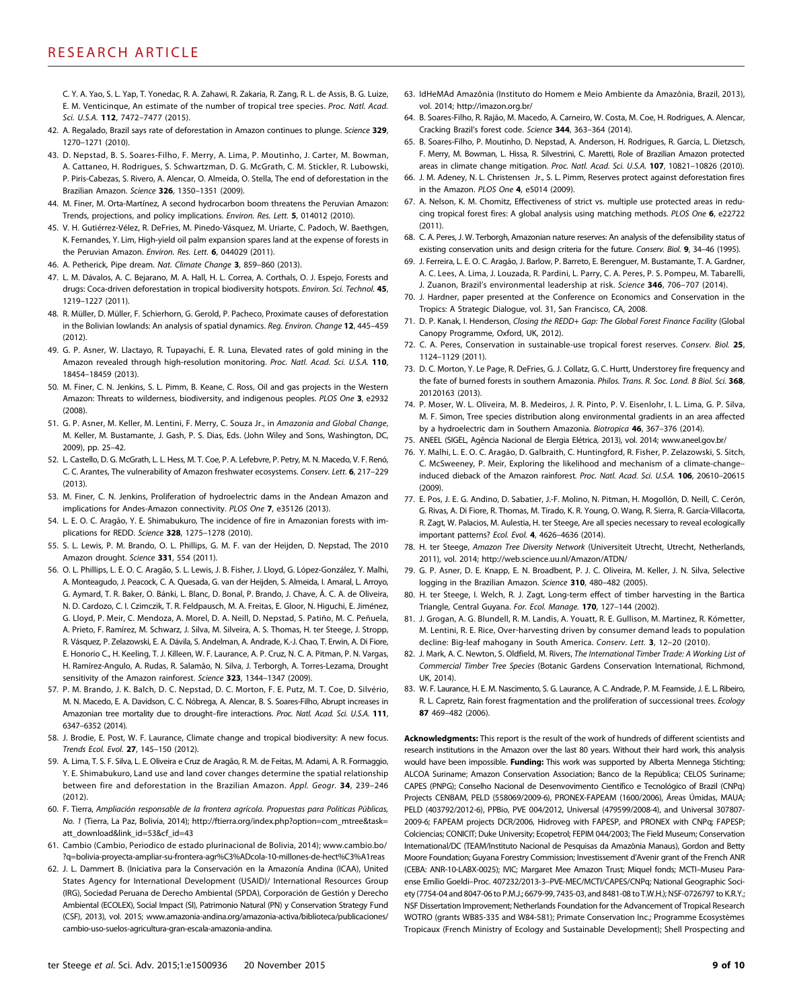C. Y. A. Yao, S. L. Yap, T. Yonedac, R. A. Zahawi, R. Zakaria, R. Zang, R. L. de Assis, B. G. Luize, E. M. Venticinque, An estimate of the number of tropical tree species. Proc. Natl. Acad. Sci. U.S.A. 112, 7472–7477 (2015).

- 42. A. Regalado, Brazil says rate of deforestation in Amazon continues to plunge. Science 329, 1270–1271 (2010).
- 43. D. Nepstad, B. S. Soares-Filho, F. Merry, A. Lima, P. Moutinho, J. Carter, M. Bowman, A. Cattaneo, H. Rodrigues, S. Schwartzman, D. G. McGrath, C. M. Stickler, R. Lubowski, P. Piris-Cabezas, S. Rivero, A. Alencar, O. Almeida, O. Stella, The end of deforestation in the Brazilian Amazon. Science 326, 1350–1351 (2009).
- 44. M. Finer, M. Orta-Martínez, A second hydrocarbon boom threatens the Peruvian Amazon: Trends, projections, and policy implications. Environ. Res. Lett. 5, 014012 (2010).
- 45. V. H. Gutiérrez-Vélez, R. DeFries, M. Pinedo-Vásquez, M. Uriarte, C. Padoch, W. Baethgen, K. Fernandes, Y. Lim, High-yield oil palm expansion spares land at the expense of forests in the Peruvian Amazon. Environ. Res. Lett. 6, 044029 (2011).
- 46. A. Petherick, Pipe dream. Nat. Climate Change 3, 859–860 (2013).
- 47. L. M. Dávalos, A. C. Bejarano, M. A. Hall, H. L. Correa, A. Corthals, O. J. Espejo, Forests and drugs: Coca-driven deforestation in tropical biodiversity hotspots. Environ. Sci. Technol. 45, 1219–1227 (2011).
- 48. R. Müller, D. Müller, F. Schierhorn, G. Gerold, P. Pacheco, Proximate causes of deforestation in the Bolivian lowlands: An analysis of spatial dynamics. Reg. Environ. Change 12, 445-459 (2012).
- 49. G. P. Asner, W. Llactayo, R. Tupayachi, E. R. Luna, Elevated rates of gold mining in the Amazon revealed through high-resolution monitoring. Proc. Natl. Acad. Sci. U.S.A. 110, 18454–18459 (2013).
- 50. M. Finer, C. N. Jenkins, S. L. Pimm, B. Keane, C. Ross, Oil and gas projects in the Western Amazon: Threats to wilderness, biodiversity, and indigenous peoples. PLOS One 3, e2932 (2008).
- 51. G. P. Asner, M. Keller, M. Lentini, F. Merry, C. Souza Jr., in Amazonia and Global Change, M. Keller, M. Bustamante, J. Gash, P. S. Dias, Eds. (John Wiley and Sons, Washington, DC, 2009), pp. 25–42.
- 52. L. Castello, D. G. McGrath, L. L. Hess, M. T. Coe, P. A. Lefebvre, P. Petry, M. N. Macedo, V. F. Renó, C. C. Arantes, The vulnerability of Amazon freshwater ecosystems. Conserv. Lett. 6, 217–229 (2013).
- 53. M. Finer, C. N. Jenkins, Proliferation of hydroelectric dams in the Andean Amazon and implications for Andes-Amazon connectivity. PLOS One 7, e35126 (2013).
- 54. L. E. O. C. Aragão, Y. E. Shimabukuro, The incidence of fire in Amazonian forests with implications for REDD. Science 328, 1275–1278 (2010).
- 55. S. L. Lewis, P. M. Brando, O. L. Phillips, G. M. F. van der Heijden, D. Nepstad, The 2010 Amazon drought. Science 331, 554 (2011).
- 56. O. L. Phillips, L. E. O. C. Aragão, S. L. Lewis, J. B. Fisher, J. Lloyd, G. López-González, Y. Malhi, A. Monteagudo, J. Peacock, C. A. Quesada, G. van der Heijden, S. Almeida, I. Amaral, L. Arroyo, G. Aymard, T. R. Baker, O. Bánki, L. Blanc, D. Bonal, P. Brando, J. Chave, Á. C. A. de Oliveira, N. D. Cardozo, C. I. Czimczik, T. R. Feldpausch, M. A. Freitas, E. Gloor, N. Higuchi, E. Jiménez, G. Lloyd, P. Meir, C. Mendoza, A. Morel, D. A. Neill, D. Nepstad, S. Patiño, M. C. Peñuela, A. Prieto, F. Ramírez, M. Schwarz, J. Silva, M. Silveira, A. S. Thomas, H. ter Steege, J. Stropp, R. Vásquez, P. Zelazowski, E. A. Dávila, S. Andelman, A. Andrade, K.-J. Chao, T. Erwin, A. Di Fiore, E. Honorio C., H. Keeling, T. J. Killeen, W. F. Laurance, A. P. Cruz, N. C. A. Pitman, P. N. Vargas, H. Ramírez-Angulo, A. Rudas, R. Salamão, N. Silva, J. Terborgh, A. Torres-Lezama, Drought sensitivity of the Amazon rainforest. Science 323, 1344-1347 (2009).
- 57. P. M. Brando, J. K. Balch, D. C. Nepstad, D. C. Morton, F. E. Putz, M. T. Coe, D. Silvério, M. N. Macedo, E. A. Davidson, C. C. Nóbrega, A. Alencar, B. S. Soares-Filho, Abrupt increases in Amazonian tree mortality due to drought-fire interactions. Proc. Natl. Acad. Sci. U.S.A. 111, 6347–6352 (2014).
- 58. J. Brodie, E. Post, W. F. Laurance, Climate change and tropical biodiversity: A new focus. Trends Ecol. Evol. 27, 145–150 (2012).
- 59. A. Lima, T. S. F. Silva, L. E. Oliveira e Cruz de Aragão, R. M. de Feitas, M. Adami, A. R. Formaggio, Y. E. Shimabukuro, Land use and land cover changes determine the spatial relationship between fire and deforestation in the Brazilian Amazon. Appl. Geogr. 34, 239–246 (2012).
- 60. F. Tierra, Ampliación responsable de la frontera agrícola. Propuestas para Politicas Públicas, No. 1 (Tierra, La Paz, Bolivia, 2014); http://ftierra.org/index.php?option=com\_mtree&task= att\_download&link\_id=53&cf\_id=43
- 61. Cambio (Cambio, Periodico de estado plurinacional de Bolivia, 2014); www.cambio.bo/ ?q=bolivia-proyecta-ampliar-su-frontera-agr%C3%ADcola-10-millones-de-hect%C3%A1reas
- 62. J. L. Dammert B. (Iniciativa para la Conservación en la Amazonía Andina (ICAA), United States Agency for International Development (USAID)/ International Resources Group (IRG), Sociedad Peruana de Derecho Ambiental (SPDA), Corporación de Gestión y Derecho Ambiental (ECOLEX), Social Impact (SI), Patrimonio Natural (PN) y Conservation Strategy Fund (CSF), 2013), vol. 2015; www.amazonia-andina.org/amazonia-activa/biblioteca/publicaciones/ cambio-uso-suelos-agricultura-gran-escala-amazonia-andina.
- 63. IdHeMAd Amazônia (Instituto do Homem e Meio Ambiente da Amazônia, Brazil, 2013), vol. 2014; http://imazon.org.br/
- 64. B. Soares-Filho, R. Rajão, M. Macedo, A. Carneiro, W. Costa, M. Coe, H. Rodrigues, A. Alencar, Cracking Brazil's forest code. Science 344, 363–364 (2014).
- 65. B. Soares-Filho, P. Moutinho, D. Nepstad, A. Anderson, H. Rodrigues, R. Garcia, L. Dietzsch, F. Merry, M. Bowman, L. Hissa, R. Silvestrini, C. Maretti, Role of Brazilian Amazon protected areas in climate change mitigation. Proc. Natl. Acad. Sci. U.S.A. 107, 10821-10826 (2010).
- 66. J. M. Adeney, N. L. Christensen Jr., S. L. Pimm, Reserves protect against deforestation fires in the Amazon. PLOS One 4, e5014 (2009).
- 67. A. Nelson, K. M. Chomitz, Effectiveness of strict vs. multiple use protected areas in reducing tropical forest fires: A global analysis using matching methods. PLOS One 6, e22722 (2011).
- 68. C. A. Peres, J. W. Terborgh, Amazonian nature reserves: An analysis of the defensibility status of existing conservation units and design criteria for the future. Conserv. Biol. 9, 34-46 (1995).
- 69. J. Ferreira, L. E. O. C. Aragão, J. Barlow, P. Barreto, E. Berenguer, M. Bustamante, T. A. Gardner, A. C. Lees, A. Lima, J. Louzada, R. Pardini, L. Parry, C. A. Peres, P. S. Pompeu, M. Tabarelli, J. Zuanon, Brazil's environmental leadership at risk. Science 346, 706-707 (2014).
- 70. J. Hardner, paper presented at the Conference on Economics and Conservation in the Tropics: A Strategic Dialogue, vol. 31, San Francisco, CA, 2008.
- 71. D. P. Kanak, I. Henderson, Closing the REDD+ Gap: The Global Forest Finance Facility (Global Canopy Programme, Oxford, UK, 2012).
- 72. C. A. Peres, Conservation in sustainable-use tropical forest reserves. Conserv. Biol. 25, 1124–1129 (2011).
- 73. D. C. Morton, Y. Le Page, R. DeFries, G. J. Collatz, G. C. Hurtt, Understorey fire frequency and the fate of burned forests in southern Amazonia. Philos. Trans. R. Soc. Lond. B Biol. Sci. 368, 20120163 (2013).
- 74. P. Moser, W. L. Oliveira, M. B. Medeiros, J. R. Pinto, P. V. Eisenlohr, I. L. Lima, G. P. Silva, M. F. Simon, Tree species distribution along environmental gradients in an area affected by a hydroelectric dam in Southern Amazonia. Biotropica 46, 367–376 (2014).
- 75. ANEEL (SIGEL, Agência Nacional de Elergia Elétrica, 2013), vol. 2014; www.aneel.gov.br/
- 76. Y. Malhi, L. E. O. C. Aragão, D. Galbraith, C. Huntingford, R. Fisher, P. Zelazowski, S. Sitch, C. McSweeney, P. Meir, Exploring the likelihood and mechanism of a climate-change– induced dieback of the Amazon rainforest. Proc. Natl. Acad. Sci. U.S.A. 106, 20610–20615 (2009).
- 77. E. Pos, J. E. G. Andino, D. Sabatier, J.-F. Molino, N. Pitman, H. Mogollón, D. Neill, C. Cerón, G. Rivas, A. Di Fiore, R. Thomas, M. Tirado, K. R. Young, O. Wang, R. Sierra, R. García-Villacorta, R. Zagt, W. Palacios, M. Aulestia, H. ter Steege, Are all species necessary to reveal ecologically important patterns? Ecol. Evol. 4, 4626–4636 (2014).
- 78. H. ter Steege, Amazon Tree Diversity Network (Universiteit Utrecht, Utrecht, Netherlands, 2011), vol. 2014; http://web.science.uu.nl/Amazon/ATDN/
- 79. G. P. Asner, D. E. Knapp, E. N. Broadbent, P. J. C. Oliveira, M. Keller, J. N. Silva, Selective logging in the Brazilian Amazon. Science 310, 480–482 (2005).
- 80. H. ter Steege, I. Welch, R. J. Zagt, Long-term effect of timber harvesting in the Bartica Triangle, Central Guyana. For. Ecol. Manage. 170, 127–144 (2002).
- 81. J. Grogan, A. G. Blundell, R. M. Landis, A. Youatt, R. E. Gullison, M. Martinez, R. Kómetter, M. Lentini, R. E. Rice, Over‐harvesting driven by consumer demand leads to population decline: Big‐leaf mahogany in South America. Conserv. Lett. 3, 12–20 (2010).
- 82. J. Mark, A. C. Newton, S. Oldfield, M. Rivers, The International Timber Trade: A Working List of Commercial Timber Tree Species (Botanic Gardens Conservation International, Richmond, UK, 2014).
- 83. W. F. Laurance, H. E. M. Nascimento, S. G. Laurance, A. C. Andrade, P. M. Fearnside, J. E. L. Ribeiro, R. L. Capretz, Rain forest fragmentation and the proliferation of successional trees. Ecology 87 469–482 (2006).

Acknowledgments: This report is the result of the work of hundreds of different scientists and research institutions in the Amazon over the last 80 years. Without their hard work, this analysis would have been impossible. Funding: This work was supported by Alberta Mennega Stichting; ALCOA Suriname; Amazon Conservation Association; Banco de la República; CELOS Suriname; CAPES (PNPG); Conselho Nacional de Desenvovimento Científico e Tecnológico of Brazil (CNPq) Projects CENBAM, PELD (558069/2009-6), PRONEX-FAPEAM (1600/2006), Áreas Úmidas, MAUA; PELD (403792/2012-6), PPBio, PVE 004/2012, Universal (479599/2008-4), and Universal 307807- 2009-6; FAPEAM projects DCR/2006, Hidroveg with FAPESP, and PRONEX with CNPq; FAPESP; Colciencias; CONICIT; Duke University; Ecopetrol; FEPIM 044/2003; The Field Museum; Conservation International/DC (TEAM/Instituto Nacional de Pesquisas da Amazônia Manaus), Gordon and Betty Moore Foundation; Guyana Forestry Commission; Investissement d'Avenir grant of the French ANR (CEBA: ANR-10-LABX-0025); IVIC; Margaret Mee Amazon Trust; Miquel fonds; MCTI–Museu Paraense Emílio Goeldi–Proc. 407232/2013-3–PVE-MEC/MCTI/CAPES/CNPq; National Geographic Society (7754-04 and 8047-06 to P.M.J.; 6679-99, 7435-03, and 8481-08 to T.W.H.); NSF-0726797 to K.R.Y.; NSF Dissertation Improvement; Netherlands Foundation for the Advancement of Tropical Research WOTRO (grants WB85-335 and W84-581); Primate Conservation Inc.; Programme Ecosystèmes Tropicaux (French Ministry of Ecology and Sustainable Development); Shell Prospecting and